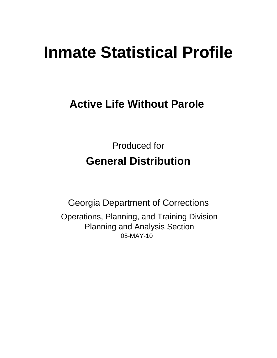# **Inmate Statistical Profile**

# **Active Life Without Parole**

**Produced for General Distribution** 

**Georgia Department of Corrections** Operations, Planning, and Training Division **Planning and Analysis Section** 05-MAY-10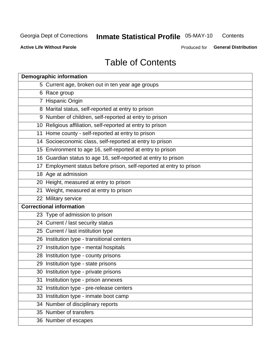# **Inmate Statistical Profile 05-MAY-10**

Contents

**Active Life Without Parole** 

Produced for General Distribution

# **Table of Contents**

| <b>Demographic information</b> |                                                                      |  |  |  |  |  |
|--------------------------------|----------------------------------------------------------------------|--|--|--|--|--|
|                                | 5 Current age, broken out in ten year age groups                     |  |  |  |  |  |
|                                | 6 Race group                                                         |  |  |  |  |  |
|                                | 7 Hispanic Origin                                                    |  |  |  |  |  |
|                                | 8 Marital status, self-reported at entry to prison                   |  |  |  |  |  |
|                                | 9 Number of children, self-reported at entry to prison               |  |  |  |  |  |
|                                | 10 Religious affiliation, self-reported at entry to prison           |  |  |  |  |  |
|                                | 11 Home county - self-reported at entry to prison                    |  |  |  |  |  |
|                                | 14 Socioeconomic class, self-reported at entry to prison             |  |  |  |  |  |
|                                | 15 Environment to age 16, self-reported at entry to prison           |  |  |  |  |  |
|                                | 16 Guardian status to age 16, self-reported at entry to prison       |  |  |  |  |  |
|                                | 17 Employment status before prison, self-reported at entry to prison |  |  |  |  |  |
|                                | 18 Age at admission                                                  |  |  |  |  |  |
|                                | 20 Height, measured at entry to prison                               |  |  |  |  |  |
|                                | 21 Weight, measured at entry to prison                               |  |  |  |  |  |
|                                | 22 Military service                                                  |  |  |  |  |  |
|                                | <b>Correctional information</b>                                      |  |  |  |  |  |
|                                | 23 Type of admission to prison                                       |  |  |  |  |  |
|                                | 24 Current / last security status                                    |  |  |  |  |  |
|                                | 25 Current / last institution type                                   |  |  |  |  |  |
|                                | 26 Institution type - transitional centers                           |  |  |  |  |  |
| 27                             | Institution type - mental hospitals                                  |  |  |  |  |  |
|                                | 28 Institution type - county prisons                                 |  |  |  |  |  |
|                                | 29 Institution type - state prisons                                  |  |  |  |  |  |
|                                | 30 Institution type - private prisons                                |  |  |  |  |  |
|                                | 31 Institution type - prison annexes                                 |  |  |  |  |  |
|                                | 32 Institution type - pre-release centers                            |  |  |  |  |  |
|                                | 33 Institution type - inmate boot camp                               |  |  |  |  |  |
|                                | 34 Number of disciplinary reports                                    |  |  |  |  |  |
|                                | 35 Number of transfers                                               |  |  |  |  |  |
|                                | 36 Number of escapes                                                 |  |  |  |  |  |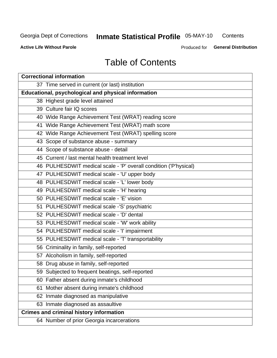# **Inmate Statistical Profile 05-MAY-10**

Contents

**Active Life Without Parole** 

Produced for General Distribution

# **Table of Contents**

| <b>Correctional information</b>                                  |  |  |  |  |  |  |  |
|------------------------------------------------------------------|--|--|--|--|--|--|--|
| 37 Time served in current (or last) institution                  |  |  |  |  |  |  |  |
| <b>Educational, psychological and physical information</b>       |  |  |  |  |  |  |  |
| 38 Highest grade level attained                                  |  |  |  |  |  |  |  |
| 39 Culture fair IQ scores                                        |  |  |  |  |  |  |  |
| 40 Wide Range Achievement Test (WRAT) reading score              |  |  |  |  |  |  |  |
| 41 Wide Range Achievement Test (WRAT) math score                 |  |  |  |  |  |  |  |
| 42 Wide Range Achievement Test (WRAT) spelling score             |  |  |  |  |  |  |  |
| 43 Scope of substance abuse - summary                            |  |  |  |  |  |  |  |
| 44 Scope of substance abuse - detail                             |  |  |  |  |  |  |  |
| 45 Current / last mental health treatment level                  |  |  |  |  |  |  |  |
| 46 PULHESDWIT medical scale - 'P' overall condition ('P'hysical) |  |  |  |  |  |  |  |
| 47 PULHESDWIT medical scale - 'U' upper body                     |  |  |  |  |  |  |  |
| 48 PULHESDWIT medical scale - 'L' lower body                     |  |  |  |  |  |  |  |
| 49 PULHESDWIT medical scale - 'H' hearing                        |  |  |  |  |  |  |  |
| 50 PULHESDWIT medical scale - 'E' vision                         |  |  |  |  |  |  |  |
| 51 PULHESDWIT medical scale -'S' psychiatric                     |  |  |  |  |  |  |  |
| 52 PULHESDWIT medical scale - 'D' dental                         |  |  |  |  |  |  |  |
| 53 PULHESDWIT medical scale - 'W' work ability                   |  |  |  |  |  |  |  |
| 54 PULHESDWIT medical scale - 'I' impairment                     |  |  |  |  |  |  |  |
| 55 PULHESDWIT medical scale - 'T' transportability               |  |  |  |  |  |  |  |
| 56 Criminality in family, self-reported                          |  |  |  |  |  |  |  |
| 57 Alcoholism in family, self-reported                           |  |  |  |  |  |  |  |
| 58 Drug abuse in family, self-reported                           |  |  |  |  |  |  |  |
| 59 Subjected to frequent beatings, self-reported                 |  |  |  |  |  |  |  |
| 60 Father absent during inmate's childhood                       |  |  |  |  |  |  |  |
| Mother absent during inmate's childhood<br>61                    |  |  |  |  |  |  |  |
| 62 Inmate diagnosed as manipulative                              |  |  |  |  |  |  |  |
| 63 Inmate diagnosed as assaultive                                |  |  |  |  |  |  |  |
| <b>Crimes and criminal history information</b>                   |  |  |  |  |  |  |  |
| 64 Number of prior Georgia incarcerations                        |  |  |  |  |  |  |  |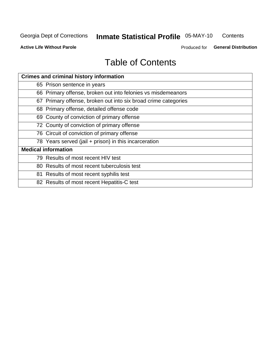# **Inmate Statistical Profile 05-MAY-10**

Contents

**Active Life Without Parole** 

Produced for General Distribution

# **Table of Contents**

| <b>Crimes and criminal history information</b>                 |  |  |  |  |  |
|----------------------------------------------------------------|--|--|--|--|--|
| 65 Prison sentence in years                                    |  |  |  |  |  |
| 66 Primary offense, broken out into felonies vs misdemeanors   |  |  |  |  |  |
| 67 Primary offense, broken out into six broad crime categories |  |  |  |  |  |
| 68 Primary offense, detailed offense code                      |  |  |  |  |  |
| 69 County of conviction of primary offense                     |  |  |  |  |  |
| 72 County of conviction of primary offense                     |  |  |  |  |  |
| 76 Circuit of conviction of primary offense                    |  |  |  |  |  |
| 78 Years served (jail + prison) in this incarceration          |  |  |  |  |  |
| <b>Medical information</b>                                     |  |  |  |  |  |
| 79 Results of most recent HIV test                             |  |  |  |  |  |
| 80 Results of most recent tuberculosis test                    |  |  |  |  |  |
| 81 Results of most recent syphilis test                        |  |  |  |  |  |
| 82 Results of most recent Hepatitis-C test                     |  |  |  |  |  |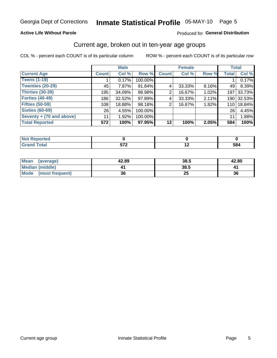# Inmate Statistical Profile 05-MAY-10 Page 5

### **Active Life Without Parole**

#### Produced for General Distribution

### Current age, broken out in ten-year age groups

COL % - percent each COUNT is of its particular column

|                            |              | <b>Male</b> |         |                 | <b>Female</b> |          | <b>Total</b> |            |
|----------------------------|--------------|-------------|---------|-----------------|---------------|----------|--------------|------------|
| <b>Current Age</b>         | <b>Count</b> | Col %       | Row %   | <b>Count</b>    | Col %         | Row %    | <b>Total</b> | Col %      |
| <b>Teens (1-19)</b>        |              | 0.17%       | 100.00% |                 |               |          |              | 0.17%      |
| <b>Twenties (20-29)</b>    | 45           | $7.87\%$    | 91.84%  | 4               | 33.33%        | $8.16\%$ | 49           | 8.39%      |
| <b>Thirties (30-39)</b>    | 195          | 34.09%      | 98.98%  | 2               | 16.67%        | 1.02%    | 197          | 33.73%     |
| <b>Forties (40-49)</b>     | 186          | $32.52\%$   | 97.89%  | 4               | 33.33%        | 2.11%    |              | 190 32.53% |
| <b>Fifties (50-59)</b>     | 108          | 18.88%      | 98.18%  | 2               | 16.67%        | 1.82%    | 110          | 18.84%     |
| <b>Sixties (60-69)</b>     | 26           | 4.55%       | 100.00% |                 |               |          | 26           | 4.45%      |
| Seventy + $(70$ and above) | 11           | 1.92%       | 100.00% |                 |               |          | 11           | 1.88%      |
| <b>Total Reported</b>      | 572          | 100%        | 97.95%  | 12 <sub>1</sub> | 100%          | 2.05%    | 584          | 100%       |

| ______ | --^<br>$\sim$ $\sim$ $\sim$ $\sim$ $\sim$ $\sim$ | $\overline{\phantom{a}}$ | <b>ro</b><br><b>JO4</b> |
|--------|--------------------------------------------------|--------------------------|-------------------------|

| <b>Mean</b><br>(average) | 42.89 | 38.5 | 42.80 |
|--------------------------|-------|------|-------|
| Median (middle)          |       | 38.5 |       |
| Mode<br>(most frequent)  | 36    | δJ   | 36    |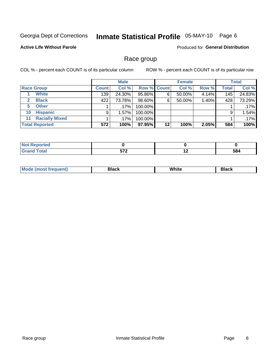# Inmate Statistical Profile 05-MAY-10 Page 6

### **Active Life Without Parole**

Produced for General Distribution

### Race group

COL % - percent each COUNT is of its particular column

|              |                       | <b>Male</b>  |         |                    | <b>Female</b> |        |       | <b>Total</b> |        |
|--------------|-----------------------|--------------|---------|--------------------|---------------|--------|-------|--------------|--------|
|              | <b>Race Group</b>     | <b>Count</b> | Col %   | <b>Row % Count</b> |               | Col %  | Row % | <b>Total</b> | Col %  |
|              | <b>White</b>          | 139          | 24.30%  | 95.86%             | 6             | 50.00% | 4.14% | 145          | 24.83% |
| $\mathbf{2}$ | <b>Black</b>          | 422          | 73.78%  | 98.60%             | 6             | 50.00% | 1.40% | 428          | 73.29% |
| 5.           | <b>Other</b>          |              | .17%    | 100.00%            |               |        |       |              | .17%   |
| 10           | <b>Hispanic</b>       | 9            | 1.57%   | 100.00%            |               |        |       | 9            | 1.54%  |
| 11           | <b>Racially Mixed</b> |              | $.17\%$ | 100.00%            |               |        |       |              | .17%   |
|              | <b>Total Reported</b> | 572          | 100%    | 97.95%             | 12            | 100%   | 2.05% | 584          | 100%   |

| <b><i>Continued the Continued of the Continued of the Continued of the Continued State Continued to the Continued State Continued to the Continued State Continued in The Continued State Conti</i></b><br>тео |          |                          |      |
|----------------------------------------------------------------------------------------------------------------------------------------------------------------------------------------------------------------|----------|--------------------------|------|
| $C0+0$                                                                                                                                                                                                         | ドフク      | $\overline{\phantom{0}}$ | 584  |
| ______                                                                                                                                                                                                         | $\cdots$ |                          | $ -$ |

| M | . | <b>PIUVIV</b> |
|---|---|---------------|
|   |   |               |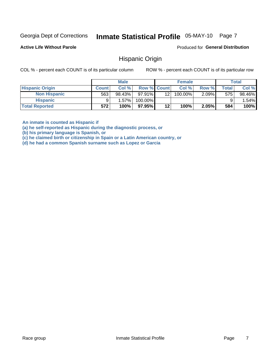#### Inmate Statistical Profile 05-MAY-10 Page 7

**Active Life Without Parole** 

Produced for General Distribution

### **Hispanic Origin**

COL % - percent each COUNT is of its particular column

ROW % - percent each COUNT is of its particular row

|                        |              | <b>Male</b> |                    |         | <b>Female</b> |          |       | <b>Total</b> |
|------------------------|--------------|-------------|--------------------|---------|---------------|----------|-------|--------------|
| <b>Hispanic Origin</b> | <b>Count</b> | Col%        | <b>Row % Count</b> |         | Col %         | Row %    | Total | Col %        |
| <b>Non Hispanic</b>    | 563          | 98.43%      | $97.91\%$          | 121     | 100.00%       | $2.09\%$ | 575   | 98.46%       |
| <b>Hispanic</b>        |              | $1.57\%$    | 100.00%            |         |               |          |       | 1.54%        |
| <b>Total Reported</b>  | 572          | 100%        | $97.95\%$          | $12 \,$ | 100%          | 2.05%    | 584   | 100%         |

An inmate is counted as Hispanic if

(a) he self-reported as Hispanic during the diagnostic process, or

(b) his primary language is Spanish, or

(c) he claimed birth or citizenship in Spain or a Latin American country, or

(d) he had a common Spanish surname such as Lopez or Garcia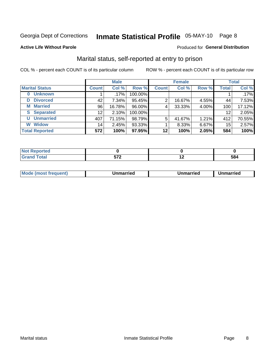# Inmate Statistical Profile 05-MAY-10 Page 8

#### **Active Life Without Parole**

### **Produced for General Distribution**

### Marital status, self-reported at entry to prison

COL % - percent each COUNT is of its particular column

|                            | <b>Male</b>  |         |         | <b>Female</b> |        |       | <b>Total</b> |        |
|----------------------------|--------------|---------|---------|---------------|--------|-------|--------------|--------|
| <b>Marital Status</b>      | <b>Count</b> | Col %   | Row %   | <b>Count</b>  | Col %  | Row % | <b>Total</b> | Col %  |
| <b>Unknown</b><br>$\bf{0}$ |              | $.17\%$ | 100.00% |               |        |       |              | .17%   |
| <b>Divorced</b><br>D       | 42           | 7.34%   | 95.45%  | 2             | 16.67% | 4.55% | 44           | 7.53%  |
| <b>Married</b><br>М        | 96           | 16.78%  | 96.00%  | 4             | 33.33% | 4.00% | 100          | 17.12% |
| <b>Separated</b><br>S      | 12           | 2.10%   | 100.00% |               |        |       | 12           | 2.05%  |
| <b>Unmarried</b><br>U      | 407          | 71.15%  | 98.79%  | 5             | 41.67% | 1.21% | 412          | 70.55% |
| <b>Widow</b><br>W          | 14           | 2.45%   | 93.33%  |               | 8.33%  | 6.67% | 15           | 2.57%  |
| <b>Total Reported</b>      | 572          | 100%    | 97.95%  | 12            | 100%   | 2.05% | 584          | 100%   |

| <b>Tea</b> |                      |     |     |
|------------|----------------------|-----|-----|
|            | --^<br>$\sim$ $\sim$ | . . | ು೦೩ |

|--|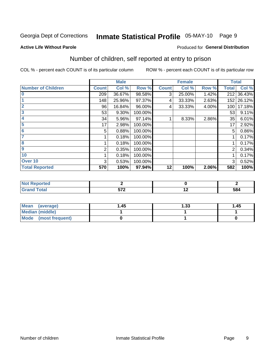# Inmate Statistical Profile 05-MAY-10 Page 9

#### **Active Life Without Parole**

#### Produced for General Distribution

# Number of children, self reported at entry to prison

COL % - percent each COUNT is of its particular column

|                           |              | <b>Male</b> |         |              | <b>Female</b> |       | <b>Total</b> |            |
|---------------------------|--------------|-------------|---------|--------------|---------------|-------|--------------|------------|
| <b>Number of Children</b> | <b>Count</b> | Col %       | Row %   | <b>Count</b> | Col %         | Row % | <b>Total</b> | Col %      |
| $\bf{0}$                  | 209          | 36.67%      | 98.58%  | 3            | 25.00%        | 1.42% | 212          | 36.43%     |
|                           | 148          | 25.96%      | 97.37%  | 4            | 33.33%        | 2.63% |              | 152 26.12% |
| $\overline{2}$            | 96           | 16.84%      | 96.00%  | 4            | 33.33%        | 4.00% | 100          | 17.18%     |
| 3                         | 53           | 9.30%       | 100.00% |              |               |       | 53           | 9.11%      |
| 4                         | 34           | 5.96%       | 97.14%  |              | 8.33%         | 2.86% | 35           | 6.01%      |
| 5                         | 17           | 2.98%       | 100.00% |              |               |       | 17           | 2.92%      |
| 6                         | 5            | 0.88%       | 100.00% |              |               |       | 5            | 0.86%      |
|                           |              | 0.18%       | 100.00% |              |               |       |              | 0.17%      |
| 8                         |              | 0.18%       | 100.00% |              |               |       |              | 0.17%      |
| $\boldsymbol{9}$          | 2            | 0.35%       | 100.00% |              |               |       | 2            | 0.34%      |
| 10                        |              | 0.18%       | 100.00% |              |               |       |              | 0.17%      |
| Over 10                   | 3            | 0.53%       | 100.00% |              |               |       | 3            | 0.52%      |
| <b>Total Reported</b>     | 570          | 100%        | 97.94%  | 12           | 100%          | 2.06% | 582          | 100%       |

| teu<br>$\sim$ |     |     |     |
|---------------|-----|-----|-----|
| υιαι<br>_____ | --^ | . . | 584 |

| <b>Mean</b><br>(average) | 45. ا | 1.33 | 1.45 |
|--------------------------|-------|------|------|
| <b>Median (middle)</b>   |       |      |      |
| Mode<br>(most frequent)  |       |      |      |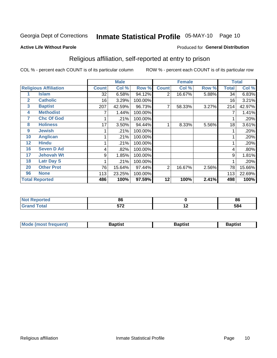# Inmate Statistical Profile 05-MAY-10 Page 10

#### **Active Life Without Parole**

#### Produced for General Distribution

## Religious affiliation, self-reported at entry to prison

COL % - percent each COUNT is of its particular column

|              |                              |              | <b>Male</b> |         |                | <b>Female</b> |       |              | <b>Total</b> |
|--------------|------------------------------|--------------|-------------|---------|----------------|---------------|-------|--------------|--------------|
|              | <b>Religious Affiliation</b> | <b>Count</b> | Col %       | Row %   | <b>Count</b>   | Col %         | Row % | <b>Total</b> | Col %        |
|              | Islam                        | 32           | 6.58%       | 94.12%  | $\overline{2}$ | 16.67%        | 5.88% | 34           | 6.83%        |
| $\mathbf{2}$ | <b>Catholic</b>              | 16           | 3.29%       | 100.00% |                |               |       | 16           | 3.21%        |
| 3            | <b>Baptist</b>               | 207          | 42.59%      | 96.73%  | 7              | 58.33%        | 3.27% | 214          | 42.97%       |
| 4            | <b>Methodist</b>             |              | 1.44%       | 100.00% |                |               |       |              | 1.41%        |
| 7            | <b>Chc Of God</b>            |              | .21%        | 100.00% |                |               |       |              | .20%         |
| 8            | <b>Holiness</b>              | 17           | 3.50%       | 94.44%  |                | 8.33%         | 5.56% | 18           | 3.61%        |
| 9            | <b>Jewish</b>                |              | .21%        | 100.00% |                |               |       |              | .20%         |
| 10           | <b>Anglican</b>              |              | .21%        | 100.00% |                |               |       |              | .20%         |
| 12           | <b>Hindu</b>                 |              | .21%        | 100.00% |                |               |       |              | .20%         |
| 16           | <b>Seven D Ad</b>            | 4            | .82%        | 100.00% |                |               |       | 4            | .80%         |
| 17           | <b>Jehovah Wt</b>            | 9            | 1.85%       | 100.00% |                |               |       | 9            | 1.81%        |
| 18           | <b>Latr Day S</b>            |              | .21%        | 100.00% |                |               |       |              | .20%         |
| 20           | <b>Other Prot</b>            | 76           | 15.64%      | 97.44%  | 2              | 16.67%        | 2.56% | 78           | 15.66%       |
| 96           | <b>None</b>                  | 113          | 23.25%      | 100.00% |                |               |       | 113          | 22.69%       |
|              | <b>Total Reported</b>        | 486          | 100%        | 97.59%  | 12             | 100%          | 2.41% | 498          | 100%         |

| ı tea<br>. | - -                 |        | - -<br>. .<br>. OC |
|------------|---------------------|--------|--------------------|
| _____      | $F = 0$<br>$\cdots$ | $\sim$ | 584                |

| Mode (most frequent) | Baptist | <b>Baptist</b> | aptıst |
|----------------------|---------|----------------|--------|
|                      |         |                |        |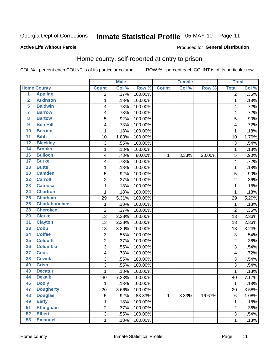# Inmate Statistical Profile 05-MAY-10 Page 11

#### **Active Life Without Parole**

#### Produced for General Distribution

## Home county, self-reported at entry to prison

COL % - percent each COUNT is of its particular column

|                         |                      |                | <b>Male</b> |         |              | <b>Female</b> |        | <b>Total</b>   |         |
|-------------------------|----------------------|----------------|-------------|---------|--------------|---------------|--------|----------------|---------|
|                         | <b>Home County</b>   | <b>Count</b>   | Col %       | Row %   | <b>Count</b> | Col %         | Row %  | <b>Total</b>   | Col %   |
| 1                       | <b>Appling</b>       | 2              | .37%        | 100.00% |              |               |        | 2              | $.36\%$ |
| $\overline{2}$          | <b>Atkinson</b>      | 1              | .18%        | 100.00% |              |               |        | 1              | .18%    |
| 5                       | <b>Baldwin</b>       | 4              | .73%        | 100.00% |              |               |        | 4              | .72%    |
| 7                       | <b>Barrow</b>        | 4              | .73%        | 100.00% |              |               |        | 4              | .72%    |
| $\overline{\mathbf{8}}$ | <b>Bartow</b>        | 5              | .92%        | 100.00% |              |               |        | 5              | .90%    |
| $\boldsymbol{9}$        | <b>Ben Hill</b>      | 4              | .73%        | 100.00% |              |               |        | $\overline{4}$ | .72%    |
| 10                      | <b>Berrien</b>       | 1              | .18%        | 100.00% |              |               |        | 1              | .18%    |
| $\overline{11}$         | <b>Bibb</b>          | 10             | 1.83%       | 100.00% |              |               |        | 10             | 1.79%   |
| $\overline{12}$         | <b>Bleckley</b>      | 3              | .55%        | 100.00% |              |               |        | 3              | .54%    |
| 14                      | <b>Brooks</b>        | 1              | .18%        | 100.00% |              |               |        | 1              | .18%    |
| 16                      | <b>Bulloch</b>       | 4              | .73%        | 80.00%  | 1            | 8.33%         | 20.00% | 5              | .90%    |
| $\overline{17}$         | <b>Burke</b>         | 4              | .73%        | 100.00% |              |               |        | $\overline{4}$ | .72%    |
| $\overline{18}$         | <b>Butts</b>         | 1              | .18%        | 100.00% |              |               |        | 1              | .18%    |
| 20                      | <b>Camden</b>        | 5              | .92%        | 100.00% |              |               |        | 5              | .90%    |
| $\overline{22}$         | <b>Carroll</b>       | $\overline{c}$ | .37%        | 100.00% |              |               |        | $\overline{2}$ | .36%    |
| 23                      | <b>Catoosa</b>       | 1              | .18%        | 100.00% |              |               |        | 1              | .18%    |
| $\overline{24}$         | <b>Charlton</b>      | 1              | .18%        | 100.00% |              |               |        | 1              | .18%    |
| 25                      | <b>Chatham</b>       | 29             | 5.31%       | 100.00% |              |               |        | 29             | 5.20%   |
| 26                      | <b>Chattahoochee</b> | 1              | .18%        | 100.00% |              |               |        | 1              | .18%    |
| 28                      | <b>Cherokee</b>      | $\overline{2}$ | .37%        | 100.00% |              |               |        | $\overline{2}$ | .36%    |
| 29                      | <b>Clarke</b>        | 13             | 2.38%       | 100.00% |              |               |        | 13             | 2.33%   |
| 31                      | <b>Clayton</b>       | 13             | 2.38%       | 100.00% |              |               |        | 13             | 2.33%   |
| 33                      | <b>Cobb</b>          | 18             | 3.30%       | 100.00% |              |               |        | 18             | 3.23%   |
| 34                      | <b>Coffee</b>        | 3              | .55%        | 100.00% |              |               |        | 3              | .54%    |
| 35                      | <b>Colquitt</b>      | 2              | .37%        | 100.00% |              |               |        | $\overline{2}$ | .36%    |
| 36                      | <b>Columbia</b>      | 3              | .55%        | 100.00% |              |               |        | 3              | .54%    |
| $\overline{37}$         | <b>Cook</b>          | 4              | .73%        | 100.00% |              |               |        | 4              | .72%    |
| 38                      | <b>Coweta</b>        | 3              | .55%        | 100.00% |              |               |        | 3              | .54%    |
| 40                      | <b>Crisp</b>         | 3              | .55%        | 100.00% |              |               |        | 3              | .54%    |
| 43                      | <b>Decatur</b>       | 1              | .18%        | 100.00% |              |               |        | 1              | .18%    |
| 44                      | <b>Dekalb</b>        | 40             | 7.33%       | 100.00% |              |               |        | 40             | 7.17%   |
| 46                      | <b>Dooly</b>         | 1              | .18%        | 100.00% |              |               |        | 1              | .18%    |
| 47                      | <b>Dougherty</b>     | 20             | 3.66%       | 100.00% |              |               |        | 20             | 3.58%   |
| 48                      | <b>Douglas</b>       | 5              | .92%        | 83.33%  | $\mathbf 1$  | 8.33%         | 16.67% | 6              | 1.08%   |
| 49                      | <b>Early</b>         | 1              | .18%        | 100.00% |              |               |        | 1              | .18%    |
| $\overline{51}$         | <b>Effingham</b>     | $\overline{c}$ | .37%        | 100.00% |              |               |        | $\mathbf 2$    | .36%    |
| 52                      | <b>Elbert</b>        | 3              | .55%        | 100.00% |              |               |        | 3              | .54%    |
| 53                      | <b>Emanuel</b>       | $\mathbf 1$    | .18%        | 100.00% |              |               |        | 1              | .18%    |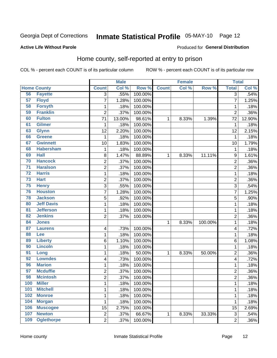# Inmate Statistical Profile 05-MAY-10 Page 12

#### **Active Life Without Parole**

#### Produced for General Distribution

### Home county, self-reported at entry to prison

COL % - percent each COUNT is of its particular column

|                 |                    |                | <b>Male</b> |         |              | <b>Female</b> |         | <b>Total</b>            |        |
|-----------------|--------------------|----------------|-------------|---------|--------------|---------------|---------|-------------------------|--------|
|                 | <b>Home County</b> | <b>Count</b>   | Col %       | Row %   | <b>Count</b> | Col %         | Row %   | <b>Total</b>            | Col %  |
| 56              | <b>Fayette</b>     | 3              | .55%        | 100.00% |              |               |         | 3                       | .54%   |
| 57              | <b>Floyd</b>       | $\overline{7}$ | 1.28%       | 100.00% |              |               |         | 7                       | 1.25%  |
| 58              | <b>Forsyth</b>     | 1              | .18%        | 100.00% |              |               |         | 1                       | .18%   |
| 59              | <b>Franklin</b>    | $\overline{2}$ | .37%        | 100.00% |              |               |         | $\overline{2}$          | .36%   |
| 60              | <b>Fulton</b>      | 71             | 13.00%      | 98.61%  | 1            | 8.33%         | 1.39%   | 72                      | 12.90% |
| 61              | <b>Gilmer</b>      | 1              | .18%        | 100.00% |              |               |         | 1                       | .18%   |
| 63              | <b>Glynn</b>       | 12             | 2.20%       | 100.00% |              |               |         | 12                      | 2.15%  |
| 66              | <b>Greene</b>      | 1              | .18%        | 100.00% |              |               |         | 1                       | .18%   |
| 67              | <b>Gwinnett</b>    | 10             | 1.83%       | 100.00% |              |               |         | 10                      | 1.79%  |
| 68              | <b>Habersham</b>   | $\mathbf 1$    | .18%        | 100.00% |              |               |         | 1                       | .18%   |
| 69              | <b>Hall</b>        | 8              | 1.47%       | 88.89%  | 1            | 8.33%         | 11.11%  | 9                       | 1.61%  |
| 70              | <b>Hancock</b>     | 2              | .37%        | 100.00% |              |               |         | 2                       | .36%   |
| $\overline{71}$ | <b>Haralson</b>    | $\overline{2}$ | .37%        | 100.00% |              |               |         | $\overline{2}$          | .36%   |
| $\overline{72}$ | <b>Harris</b>      | $\mathbf{1}$   | .18%        | 100.00% |              |               |         | 1                       | .18%   |
| $\overline{73}$ | <b>Hart</b>        | $\overline{2}$ | .37%        | 100.00% |              |               |         | $\overline{2}$          | .36%   |
| 75              | <b>Henry</b>       | 3              | .55%        | 100.00% |              |               |         | 3                       | .54%   |
| 76              | <b>Houston</b>     | $\overline{7}$ | 1.28%       | 100.00% |              |               |         | 7                       | 1.25%  |
| 78              | <b>Jackson</b>     | 5              | .92%        | 100.00% |              |               |         | 5                       | .90%   |
| 80              | <b>Jeff Davis</b>  | $\mathbf 1$    | .18%        | 100.00% |              |               |         | 1                       | .18%   |
| 81              | <b>Jefferson</b>   | $\mathbf 1$    | .18%        | 100.00% |              |               |         | 1                       | .18%   |
| 82              | <b>Jenkins</b>     | $\overline{2}$ | .37%        | 100.00% |              |               |         | $\overline{2}$          | .36%   |
| 84              | <b>Jones</b>       |                |             |         | 1            | 8.33%         | 100.00% | 1                       | .18%   |
| 87              | <b>Laurens</b>     | 4              | .73%        | 100.00% |              |               |         | 4                       | .72%   |
| 88              | Lee                | 1              | .18%        | 100.00% |              |               |         | 1                       | .18%   |
| 89              | <b>Liberty</b>     | 6              | 1.10%       | 100.00% |              |               |         | 6                       | 1.08%  |
| 90              | <b>Lincoln</b>     | $\mathbf 1$    | .18%        | 100.00% |              |               |         | 1                       | .18%   |
| 91              | Long               | $\mathbf 1$    | .18%        | 50.00%  | 1            | 8.33%         | 50.00%  | $\overline{\mathbf{c}}$ | .36%   |
| 92              | <b>Lowndes</b>     | 4              | .73%        | 100.00% |              |               |         | 4                       | .72%   |
| 96              | <b>Marion</b>      | $\mathbf 1$    | .18%        | 100.00% |              |               |         | 1                       | .18%   |
| 97              | <b>Mcduffie</b>    | $\overline{c}$ | .37%        | 100.00% |              |               |         | $\overline{2}$          | .36%   |
| 98              | <b>Mcintosh</b>    | $\overline{2}$ | .37%        | 100.00% |              |               |         | $\overline{c}$          | .36%   |
| 100             | <b>Miller</b>      | 1              | .18%        | 100.00% |              |               |         | 1                       | .18%   |
| 101             | <b>Mitchell</b>    | $\mathbf{1}$   | .18%        | 100.00% |              |               |         | 1                       | .18%   |
| 102             | <b>Monroe</b>      | 1              | .18%        | 100.00% |              |               |         | 1                       | .18%   |
| 104             | <b>Morgan</b>      | 1              | .18%        | 100.00% |              |               |         | 1                       | .18%   |
| 106             | <b>Muscogee</b>    | 15             | 2.75%       | 100.00% |              |               |         | 15                      | 2.69%  |
| 107             | <b>Newton</b>      | $\overline{2}$ | .37%        | 66.67%  | 1            | 8.33%         | 33.33%  | 3                       | .54%   |
| 109             | <b>Oglethorpe</b>  | $\overline{2}$ | .37%        | 100.00% |              |               |         | 2                       | .36%   |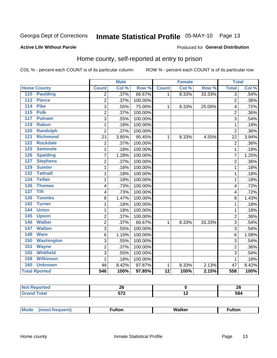# Inmate Statistical Profile 05-MAY-10 Page 13

#### **Active Life Without Parole**

### **Produced for General Distribution**

### Home county, self-reported at entry to prison

COL % - percent each COUNT is of its particular column

|                                     |                | <b>Male</b> |         |                 | <b>Female</b> |        | <b>Total</b>     |       |
|-------------------------------------|----------------|-------------|---------|-----------------|---------------|--------|------------------|-------|
| <b>Home County</b>                  | <b>Count</b>   | Col %       | Row %   | <b>Count</b>    | Col %         | Row %  | <b>Total</b>     | Col % |
| 110<br><b>Paulding</b>              | $\overline{2}$ | .37%        | 66.67%  | 1               | 8.33%         | 33.33% | $\overline{3}$   | .54%  |
| 113<br><b>Pierce</b>                | $\overline{c}$ | .37%        | 100.00% |                 |               |        | $\overline{2}$   | .36%  |
| <b>Pike</b><br>114                  | 3              | .55%        | 75.00%  | 1               | 8.33%         | 25.00% | 4                | .72%  |
| 115<br><b>Polk</b>                  | $\overline{2}$ | .37%        | 100.00% |                 |               |        | $\overline{2}$   | .36%  |
| 117<br><b>Putnam</b>                | 3              | .55%        | 100.00% |                 |               |        | 3                | .54%  |
| 119<br><b>Rabun</b>                 | 1              | .18%        | 100.00% |                 |               |        | 1                | .18%  |
| <b>Randolph</b><br>120              | $\overline{2}$ | .37%        | 100.00% |                 |               |        | $\overline{2}$   | .36%  |
| 121<br><b>Richmond</b>              | 21             | 3.85%       | 95.45%  | 1               | 8.33%         | 4.55%  | 22               | 3.94% |
| <b>Rockdale</b><br>122              | $\overline{2}$ | .37%        | 100.00% |                 |               |        | $\overline{2}$   | .36%  |
| 125<br><b>Seminole</b>              | 1              | .18%        | 100.00% |                 |               |        | 1                | .18%  |
| 126<br><b>Spalding</b>              | $\overline{7}$ | 1.28%       | 100.00% |                 |               |        | $\overline{7}$   | 1.25% |
| <b>Stephens</b><br>127              | 2              | .37%        | 100.00% |                 |               |        | $\overline{2}$   | .36%  |
| 129<br><b>Sumter</b>                | 1              | .18%        | 100.00% |                 |               |        | 1                | .18%  |
| <b>Tattnall</b><br>$\overline{132}$ | $\mathbf{1}$   | .18%        | 100.00% |                 |               |        | 1                | .18%  |
| <b>Telfair</b><br>134               | 1              | .18%        | 100.00% |                 |               |        | 1                | .18%  |
| 136<br><b>Thomas</b>                | 4              | .73%        | 100.00% |                 |               |        | 4                | .72%  |
| <b>Tift</b><br>137                  | 4              | .73%        | 100.00% |                 |               |        | 4                | .72%  |
| <b>Toombs</b><br>138                | 8              | 1.47%       | 100.00% |                 |               |        | 8                | 1.43% |
| <b>Turner</b><br>142                | 1              | .18%        | 100.00% |                 |               |        | 1                | .18%  |
| <b>Union</b><br>144                 | $\mathbf{1}$   | .18%        | 100.00% |                 |               |        | 1                | .18%  |
| 145<br><b>Upson</b>                 | $\overline{2}$ | .37%        | 100.00% |                 |               |        | $\overline{2}$   | .36%  |
| <b>Walker</b><br>146                | $\overline{2}$ | .37%        | 66.67%  | 1               | 8.33%         | 33.33% | 3                | .54%  |
| <b>Walton</b><br>147                | 3              | .55%        | 100.00% |                 |               |        | 3                | .54%  |
| 148<br><b>Ware</b>                  | $\,6$          | 1.10%       | 100.00% |                 |               |        | 6                | 1.08% |
| <b>Washington</b><br>150            | 3              | .55%        | 100.00% |                 |               |        | 3                | .54%  |
| 151<br><b>Wayne</b>                 | 2              | .37%        | 100.00% |                 |               |        | $\overline{2}$   | .36%  |
| <b>Whitfield</b><br>155             | $\overline{3}$ | .55%        | 100.00% |                 |               |        | $\overline{3}$   | .54%  |
| 158<br><b>Wilkinson</b>             | 1              | .18%        | 100.00% |                 |               |        | $\mathbf 1$      | .18%  |
| 160<br><b>Unknown</b>               | 46             | 8.42%       | 97.87%  | 1               | 8.33%         | 2.13%  | 47               | 8.42% |
| <b>Total Rported</b>                | 546            | 100%        | 97.85%  | $\overline{12}$ | 100%          | 2.15%  | $\overline{558}$ | 100%  |

| Reported<br>$\sim$ | --<br>∸⊻ |     | ZU  |
|--------------------|----------|-----|-----|
| <b>Total</b>       | -70      | . . | 584 |

| <b>Mode</b><br>Walker<br>ulton<br>ulton.<br>nos |
|-------------------------------------------------|
|-------------------------------------------------|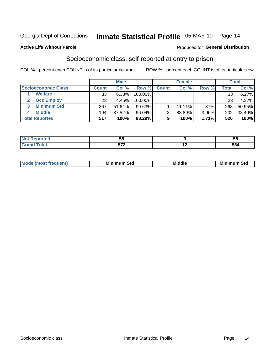# Inmate Statistical Profile 05-MAY-10 Page 14

#### **Active Life Without Parole**

#### Produced for General Distribution

### Socioeconomic class, self-reported at entry to prison

COL % - percent each COUNT is of its particular column

|                       |                  | <b>Male</b> |            |              | <b>Female</b> |         |       | <b>Total</b> |
|-----------------------|------------------|-------------|------------|--------------|---------------|---------|-------|--------------|
| Socioeconomic Class   | <b>Count</b>     | Col %       | Row %      | <b>Count</b> | Col %         | Row %   | Total | Col %        |
| <b>Welfare</b>        | 33               | 6.38%       | 100.00%    |              |               |         | 33    | 6.27%        |
| <b>Occ Employ</b>     | 23 <sub>1</sub>  | 4.45%       | $100.00\%$ |              |               |         | 23    | 4.37%        |
| <b>Minimum Std</b>    | 267              | 51.64%      | $99.63\%$  |              | $11.11\%$     | $.37\%$ | 268   | 50.95%       |
| <b>Middle</b>         | 194 <sub>1</sub> | 37.52%      | 96.04%     | 8            | 88.89%        | 3.96%   | 202   | 38.40%       |
| <b>Total Reported</b> | 517              | 100%        | 98.29%     |              | 100%          | 1.71%   | 526   | 100%         |

|       | --<br>ບປ             | ວດ               |
|-------|----------------------|------------------|
| _____ | --0<br>$\cdot$ . $-$ | <b>FA</b><br>יסט |

|  | Mo | Minin<br>Std<br>$- - - -$ | <b>Middle</b> | Min<br>Std<br>. |
|--|----|---------------------------|---------------|-----------------|
|--|----|---------------------------|---------------|-----------------|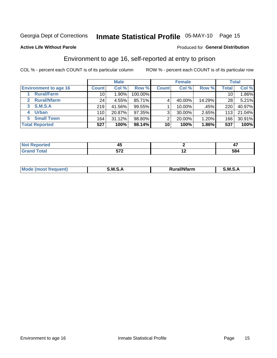# Inmate Statistical Profile 05-MAY-10 Page 15

#### **Active Life Without Parole**

#### Produced for General Distribution

## Environment to age 16, self-reported at entry to prison

COL % - percent each COUNT is of its particular column

|                                    |              | <b>Male</b> |         |                | <b>Female</b> |        |                 | <b>Total</b> |
|------------------------------------|--------------|-------------|---------|----------------|---------------|--------|-----------------|--------------|
| <b>Environment to age 16</b>       | <b>Count</b> | Col %       | Row %   | <b>Count</b>   | Col %         | Row %  | Total           | Col %        |
| <b>Rural/Farm</b>                  | 10           | 90%.        | 100.00% |                |               |        | 10 <sub>1</sub> | 1.86%        |
| <b>Rural/Nfarm</b><br>$\mathbf{2}$ | 24           | 4.55%       | 85.71%  |                | 40.00%        | 14.29% | 28              | 5.21%        |
| 3 S.M.S.A                          | 219          | 41.56%      | 99.55%  |                | 10.00%        | .45%   | 220             | 40.97%       |
| <b>Urban</b><br>4                  | 110          | 20.87%      | 97.35%  | 3 <sub>1</sub> | 30.00%        | 2.65%  | 113             | 21.04%       |
| 5 Small Town                       | 164          | 31.12%      | 98.80%  | 2              | 20.00%        | 1.20%  | 166             | 30.91%       |
| <b>Total Reported</b>              | 527          | 100%        | 98.14%  | 10             | 100%          | 1.86%  | 537             | 100%         |

| <b>Not Reported</b> |     |                   |
|---------------------|-----|-------------------|
| <b>Total</b>        | -70 | <br>ro 1<br>- 204 |

| Mo | M<br>______ | <b>17516</b><br><b>Ifarm</b><br>. | -<br>M<br>_____ |
|----|-------------|-----------------------------------|-----------------|
|    |             |                                   |                 |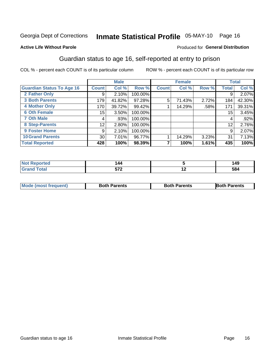# Inmate Statistical Profile 05-MAY-10 Page 16

#### **Active Life Without Parole**

#### Produced for General Distribution

### Guardian status to age 16, self-reported at entry to prison

COL % - percent each COUNT is of its particular column

|                                  |              | <b>Male</b> |         |              | <b>Female</b> |       |                 | <b>Total</b> |
|----------------------------------|--------------|-------------|---------|--------------|---------------|-------|-----------------|--------------|
| <b>Guardian Status To Age 16</b> | <b>Count</b> | Col %       | Row %   | <b>Count</b> | Col %         | Row % | <b>Total</b>    | Col %        |
| 2 Father Only                    | 9            | 2.10%       | 100.00% |              |               |       | 9               | 2.07%        |
| <b>3 Both Parents</b>            | 179          | 41.82%      | 97.28%  | 5            | 71.43%        | 2.72% | 184             | 42.30%       |
| <b>4 Mother Only</b>             | 170          | 39.72%      | 99.42%  |              | 14.29%        | .58%  | 171             | 39.31%       |
| <b>6 Oth Female</b>              | 15           | 3.50%       | 100.00% |              |               |       | 15 <sub>1</sub> | 3.45%        |
| <b>7 Oth Male</b>                | 4            | .93%        | 100.00% |              |               |       | 4               | .92%         |
| 8 Step-Parents                   | 12           | 2.80%       | 100.00% |              |               |       | 12              | 2.76%        |
| <b>9 Foster Home</b>             | 9            | 2.10%       | 100.00% |              |               |       | 9               | 2.07%        |
| <b>10 Grand Parents</b>          | 30           | 7.01%       | 96.77%  |              | 14.29%        | 3.23% | 31              | 7.13%        |
| <b>Total Reported</b>            | 428          | 100%        | 98.39%  |              | 100%          | 1.61% | 435             | 100%         |

| ted   | 144                  |     | 149 |
|-------|----------------------|-----|-----|
| Total | $-70$<br>JI L<br>$-$ | . . | 584 |

| <b>Mode (most frequent)</b> | <b>Both Parents</b> | <b>Both Parents</b> | <b>Both Parents</b> |
|-----------------------------|---------------------|---------------------|---------------------|
|                             |                     |                     |                     |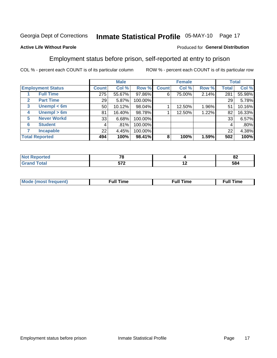# Inmate Statistical Profile 05-MAY-10 Page 17

### **Active Life Without Parole**

### Produced for General Distribution

### Employment status before prison, self-reported at entry to prison

COL % - percent each COUNT is of its particular column

|                                  |                 | <b>Male</b> |         |              | <b>Female</b> |       |              | <b>Total</b> |
|----------------------------------|-----------------|-------------|---------|--------------|---------------|-------|--------------|--------------|
| <b>Employment Status</b>         | <b>Count</b>    | Col %       | Row %   | <b>Count</b> | Col %         | Row % | <b>Total</b> | Col %        |
| <b>Full Time</b>                 | 275             | 55.67%      | 97.86%  | 6            | 75.00%        | 2.14% | 281          | 55.98%       |
| <b>Part Time</b><br>$\mathbf{2}$ | 29 <sub>1</sub> | 5.87%       | 100.00% |              |               |       | 29           | 5.78%        |
| Unempl $<$ 6m<br>3               | 50              | 10.12%      | 98.04%  |              | 12.50%        | 1.96% | 51           | 10.16%       |
| Unempl > 6m<br>4                 | 81              | 16.40%      | 98.78%  |              | 12.50%        | 1.22% | 82           | 16.33%       |
| <b>Never Workd</b><br>5          | 33              | 6.68%       | 100.00% |              |               |       | 33           | 6.57%        |
| <b>Student</b><br>6              | 4               | .81%        | 100.00% |              |               |       | 4            | .80%         |
| <b>Incapable</b>                 | 22              | 4.45%       | 100.00% |              |               |       | 22           | 4.38%        |
| <b>Total Reported</b>            | 494             | 100%        | 98.41%  | 8            | 100%          | 1.59% | 502          | 100%         |

| тео                   | --<br>ĸо<br>$\sim$ |     | $\mathbf{C}$<br>OZ. |
|-----------------------|--------------------|-----|---------------------|
| $f \wedge f \wedge f$ | ミフク                | . . | 584                 |

| M | the contract of the contract of the contract of the contract of the contract of the contract of the contract of | ---<br>mє<br> |
|---|-----------------------------------------------------------------------------------------------------------------|---------------|
|   |                                                                                                                 |               |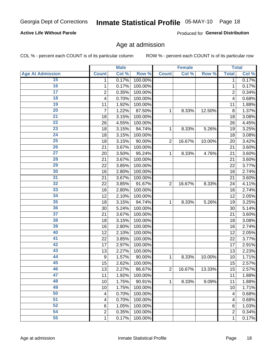# Inmate Statistical Profile 05-MAY-10 Page 18

### **Active Life Without Parole**

Produced for General Distribution

### Age at admission

COL % - percent each COUNT is of its particular column

|                         |                         | <b>Male</b> |         |                | <b>Female</b> |        |                | <b>Total</b> |
|-------------------------|-------------------------|-------------|---------|----------------|---------------|--------|----------------|--------------|
| <b>Age At Admission</b> | <b>Count</b>            | Col %       | Row %   | <b>Count</b>   | Col %         | Row %  | <b>Total</b>   | Col %        |
| 15                      | 1                       | 0.17%       | 100.00% |                |               |        | 1              | 0.17%        |
| 16                      | 1                       | 0.17%       | 100.00% |                |               |        | 1              | 0.17%        |
| $\overline{17}$         | $\overline{\mathbf{c}}$ | 0.35%       | 100.00% |                |               |        | $\overline{2}$ | 0.34%        |
| 18                      | 4                       | 0.70%       | 100.00% |                |               |        | 4              | 0.68%        |
| 19                      | 11                      | 1.92%       | 100.00% |                |               |        | 11             | 1.88%        |
| $\overline{20}$         | 7                       | 1.22%       | 87.50%  | 1              | 8.33%         | 12.50% | 8              | 1.37%        |
| $\overline{21}$         | 18                      | 3.15%       | 100.00% |                |               |        | 18             | 3.08%        |
| 22                      | 26                      | 4.55%       | 100.00% |                |               |        | 26             | 4.45%        |
| 23                      | 18                      | 3.15%       | 94.74%  | 1              | 8.33%         | 5.26%  | 19             | 3.25%        |
| 24                      | 18                      | 3.15%       | 100.00% |                |               |        | 18             | 3.08%        |
| $\overline{25}$         | 18                      | 3.15%       | 90.00%  | $\overline{2}$ | 16.67%        | 10.00% | 20             | 3.42%        |
| 26                      | 21                      | 3.67%       | 100.00% |                |               |        | 21             | 3.60%        |
| $\overline{27}$         | 20                      | 3.50%       | 95.24%  | 1              | 8.33%         | 4.76%  | 21             | 3.60%        |
| 28                      | 21                      | 3.67%       | 100.00% |                |               |        | 21             | 3.60%        |
| 29                      | 22                      | 3.85%       | 100.00% |                |               |        | 22             | 3.77%        |
| 30                      | 16                      | 2.80%       | 100.00% |                |               |        | 16             | 2.74%        |
| 31                      | 21                      | 3.67%       | 100.00% |                |               |        | 21             | 3.60%        |
| 32                      | 22                      | 3.85%       | 91.67%  | $\overline{2}$ | 16.67%        | 8.33%  | 24             | 4.11%        |
| 33                      | 16                      | 2.80%       | 100.00% |                |               |        | 16             | 2.74%        |
| 34                      | 12                      | 2.10%       | 100.00% |                |               |        | 12             | 2.05%        |
| 35                      | 18                      | 3.15%       | 94.74%  | 1              | 8.33%         | 5.26%  | 19             | 3.25%        |
| 36                      | 30                      | 5.24%       | 100.00% |                |               |        | 30             | 5.14%        |
| $\overline{37}$         | 21                      | 3.67%       | 100.00% |                |               |        | 21             | 3.60%        |
| 38                      | 18                      | 3.15%       | 100.00% |                |               |        | 18             | 3.08%        |
| 39                      | 16                      | 2.80%       | 100.00% |                |               |        | 16             | 2.74%        |
| 40                      | 12                      | 2.10%       | 100.00% |                |               |        | 12             | 2.05%        |
| 41                      | 22                      | 3.85%       | 100.00% |                |               |        | 22             | 3.77%        |
| 42                      | 17                      | 2.97%       | 100.00% |                |               |        | 17             | 2.91%        |
| 43                      | 13                      | 2.27%       | 100.00% |                |               |        | 13             | 2.23%        |
| 44                      | 9                       | 1.57%       | 90.00%  | 1              | 8.33%         | 10.00% | 10             | 1.71%        |
| 45                      | 15                      | 2.62%       | 100.00% |                |               |        | 15             | 2.57%        |
| 46                      | 13                      | 2.27%       | 86.67%  | $\overline{2}$ | 16.67%        | 13.33% | 15             | 2.57%        |
| 47                      | 11                      | 1.92%       | 100.00% |                |               |        | 11             | 1.88%        |
| 48                      | 10                      | 1.75%       | 90.91%  | 1              | 8.33%         | 9.09%  | 11             | 1.88%        |
| 49                      | 10                      | 1.75%       | 100.00% |                |               |        | 10             | 1.71%        |
| 50                      | 4                       | 0.70%       | 100.00% |                |               |        | 4              | 0.68%        |
| $\overline{51}$         | 4                       | 0.70%       | 100.00% |                |               |        | 4              | 0.68%        |
| 52                      | 6                       | 1.05%       | 100.00% |                |               |        | 6              | 1.03%        |
| 54                      | $\overline{c}$          | 0.35%       | 100.00% |                |               |        | 2              | 0.34%        |
| 55                      | 1                       | 0.17%       | 100.00% |                |               |        | 1              | 0.17%        |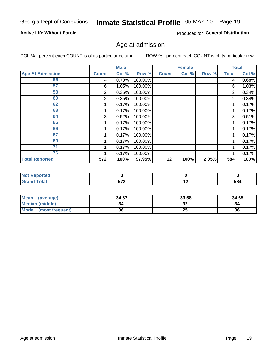# Inmate Statistical Profile 05-MAY-10 Page 19

### **Active Life Without Parole**

Produced for General Distribution

### Age at admission

COL % - percent each COUNT is of its particular column

|                         |              | <b>Male</b> |         |              | <b>Female</b> |       |              | <b>Total</b> |
|-------------------------|--------------|-------------|---------|--------------|---------------|-------|--------------|--------------|
| <b>Age At Admission</b> | <b>Count</b> | Col %       | Row %   | <b>Count</b> | Col %         | Row % | <b>Total</b> | Col %        |
| 56                      | 4            | 0.70%       | 100.00% |              |               |       | 4            | 0.68%        |
| 57                      | 6            | 1.05%       | 100.00% |              |               |       | 6            | 1.03%        |
| 58                      | 2            | 0.35%       | 100.00% |              |               |       | 2            | 0.34%        |
| 60                      | 2            | 0.35%       | 100.00% |              |               |       | 2            | 0.34%        |
| 62                      |              | 0.17%       | 100.00% |              |               |       |              | 0.17%        |
| 63                      |              | 0.17%       | 100.00% |              |               |       |              | 0.17%        |
| 64                      | 3            | 0.52%       | 100.00% |              |               |       | 3            | 0.51%        |
| 65                      |              | 0.17%       | 100.00% |              |               |       |              | 0.17%        |
| 66                      |              | 0.17%       | 100.00% |              |               |       |              | 0.17%        |
| 67                      |              | 0.17%       | 100.00% |              |               |       |              | 0.17%        |
| 69                      |              | 0.17%       | 100.00% |              |               |       |              | 0.17%        |
| 71                      |              | 0.17%       | 100.00% |              |               |       |              | 0.17%        |
| 76                      |              | 0.17%       | 100.00% |              |               |       |              | 0.17%        |
| <b>Total Reported</b>   | 572          | 100%        | 97.95%  | 12           | 100%          | 2.05% | 584          | 100%         |

| orted            |     |     |     |
|------------------|-----|-----|-----|
| <b>otal</b>      | --^ | . . | 584 |
| $\mathbf{v}$ and | JIL |     |     |

| <b>Mean</b><br>(average) | 34.67 | 33.58 | 34.65 |
|--------------------------|-------|-------|-------|
| <b>Median (middle)</b>   |       | 32    | 34    |
| Mode<br>(most frequent)  | 36    | 25    | 36    |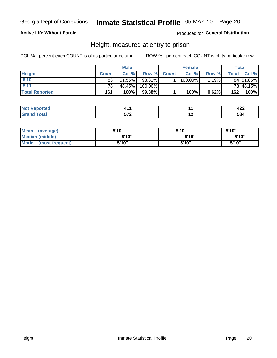# Inmate Statistical Profile 05-MAY-10 Page 20

### **Active Life Without Parole**

Produced for General Distribution

### Height, measured at entry to prison

COL % - percent each COUNT is of its particular column

|                       |                 | <b>Male</b> |         |             | <b>Female</b> |        |              | Total     |
|-----------------------|-----------------|-------------|---------|-------------|---------------|--------|--------------|-----------|
| <b>Height</b>         | <b>Count</b>    | Col %       |         | Row % Count | Col %         | Row %I | <b>Total</b> | Col %     |
| 5'10''                | 83              | 51.55%      | 98.81%  |             | 100.00%       | 1.19%  |              | 84 51.85% |
| 5'11''                | 78 <sub>1</sub> | 48.45%      | 100.00% |             |               |        |              | 78 48.15% |
| <b>Total Reported</b> | 161             | 100%        | 99.38%  |             | 100%          | 0.62%  | 162          | 100%      |

| <b><i>CALCULATION</i></b><br>N0<br>тео - |                    |     | ---<br>┱┻┻ |
|------------------------------------------|--------------------|-----|------------|
| <b>otal</b><br><b>GR</b><br>-----        | -70<br>$\cdot$ $-$ | . . | 584        |

| <b>Mean</b><br>(average)       | 5'10"  | 5'10" | 5'10"  |
|--------------------------------|--------|-------|--------|
| <b>Median (middle)</b>         | 5'10'' | 5'10" | 5'10'' |
| <b>Mode</b><br>(most frequent) | 5'10"  | 5'10" | 5'10"  |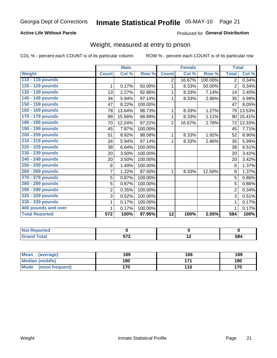# Inmate Statistical Profile 05-MAY-10 Page 21

### **Active Life Without Parole**

#### Produced for General Distribution

# Weight, measured at entry to prison

COL % - percent each COUNT is of its particular column

|                       |                | <b>Male</b> |                      |                | <b>Female</b> |         | <b>Total</b>   |        |
|-----------------------|----------------|-------------|----------------------|----------------|---------------|---------|----------------|--------|
| <b>Weight</b>         | <b>Count</b>   | Col %       | Row %                | <b>Count</b>   | Col %         | Row %   | <b>Total</b>   | Col %  |
| 110 - 119 pounds      |                |             |                      | $\overline{2}$ | 16.67%        | 100.00% | $\overline{2}$ | 0.34%  |
| 120 - 129 pounds      | 1              | 0.17%       | 50.00%               | 1              | 8.33%         | 50.00%  | $\overline{2}$ | 0.34%  |
| 130 - 139 pounds      | 13             | 2.27%       | 92.86%               | 1              | 8.33%         | 7.14%   | 14             | 2.40%  |
| 140 - 149 pounds      | 34             | 5.94%       | 97.14%               | 1              | 8.33%         | 2.86%   | 35             | 5.99%  |
| 150 - 159 pounds      | 47             | 8.22%       | 100.00%              |                |               |         | 47             | 8.05%  |
| 160 - 169 pounds      | 78             | 13.64%      | 98.73%               | 1              | 8.33%         | 1.27%   | 79             | 13.53% |
| 170 - 179 pounds      | 89             | 15.56%      | 98.89%               | 1              | 8.33%         | 1.11%   | 90             | 15.41% |
| 180 - 189 pounds      | 70             | 12.24%      | 97.22%               | $\overline{2}$ | 16.67%        | 2.78%   | 72             | 12.33% |
| 190 - 199 pounds      | 45             | 7.87%       | 100.00%              |                |               |         | 45             | 7.71%  |
| 200 - 209 pounds      | 51             | 8.92%       | 98.08%               | 1              | 8.33%         | 1.92%   | 52             | 8.90%  |
| 210 - 219 pounds      | 34             | 5.94%       | $\overline{97.14\%}$ | 1              | 8.33%         | 2.86%   | 35             | 5.99%  |
| 220 - 229 pounds      | 38             | 6.64%       | 100.00%              |                |               |         | 38             | 6.51%  |
| 230 - 239 pounds      | 20             | 3.50%       | 100.00%              |                |               |         | 20             | 3.42%  |
| 240 - 249 pounds      | 20             | 3.50%       | 100.00%              |                |               |         | 20             | 3.42%  |
| 250 - 259 pounds      | 8              | 1.40%       | 100.00%              |                |               |         | 8              | 1.37%  |
| 260 - 269 pounds      | 7              | 1.22%       | 87.50%               | 1              | 8.33%         | 12.50%  | 8              | 1.37%  |
| 270 - 279 pounds      | 5              | 0.87%       | 100.00%              |                |               |         | 5              | 0.86%  |
| 280 - 289 pounds      | 5              | 0.87%       | 100.00%              |                |               |         | 5              | 0.86%  |
| 290 - 299 pounds      | $\overline{2}$ | 0.35%       | 100.00%              |                |               |         | 2              | 0.34%  |
| 320 - 329 pounds      | 3              | 0.52%       | 100.00%              |                |               |         | 3              | 0.51%  |
| 330 - 339 pounds      | 1              | 0.17%       | 100.00%              |                |               |         | 1              | 0.17%  |
| 400 pounds and over   | 1              | 0.17%       | 100.00%              |                |               |         | 1              | 0.17%  |
| <b>Total Reported</b> | 572            | 100%        | 97.95%               | 12             | 100%          | 2.05%   | 584            | 100%   |

| ported |       |     |     |
|--------|-------|-----|-----|
|        | $-70$ | . . | 584 |

| Mean<br>(average)              | 189 | 166   | 189 |
|--------------------------------|-----|-------|-----|
| <b>Median (middle)</b>         | 180 | 4 7 4 | 180 |
| <b>Mode</b><br>(most frequent) | 170 | 110   | 170 |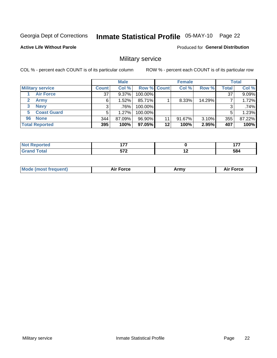# Inmate Statistical Profile 05-MAY-10 Page 22

#### **Active Life Without Parole**

**Produced for General Distribution** 

### Military service

COL % - percent each COUNT is of its particular column

|                               |              | <b>Male</b> |                    |    | <b>Female</b> |        |              | <b>Total</b> |
|-------------------------------|--------------|-------------|--------------------|----|---------------|--------|--------------|--------------|
| <b>Military service</b>       | <b>Count</b> | Col %       | <b>Row % Count</b> |    | Col %         | Row %  | <b>Total</b> | Col %        |
| <b>Air Force</b>              | 37           | $9.37\%$    | 100.00%            |    |               |        | 37           | 9.09%        |
| $\mathbf{2}^-$<br><b>Army</b> | 6            | $1.52\%$    | 85.71%             |    | 8.33%         | 14.29% |              | 1.72%        |
| <b>Navy</b><br>3              |              | .76%        | 100.00%            |    |               |        | 3            | .74%         |
| <b>Coast Guard</b><br>5.      | 5            | 1.27%       | 100.00%            |    |               |        | 5            | 1.23%        |
| 96 None                       | 344          | 87.09%      | 96.90%             | 11 | 91.67%        | 3.10%  | 355          | 87.22%       |
| <b>Total Reported</b>         | 395          | 100%        | 97.05%             | 12 | 100%          | 2.95%  | 407          | 100%         |

| -     | $\overline{1}$<br>.  |                          | $\overline{\phantom{a}}$<br>. . |
|-------|----------------------|--------------------------|---------------------------------|
| _____ | ヒフヘ<br>$\cdot$ . $-$ | $\overline{\phantom{a}}$ | 584<br>$ -$                     |

| `Mc<br>Army |
|-------------|
|-------------|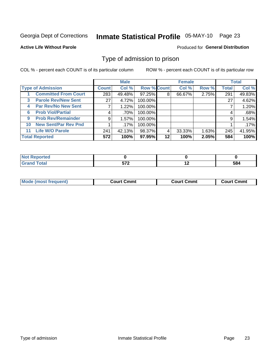# Inmate Statistical Profile 05-MAY-10 Page 23

### **Active Life Without Parole**

#### Produced for General Distribution

### Type of admission to prison

COL % - percent each COUNT is of its particular column

|                                   |                 | <b>Male</b> |                    |         | <b>Female</b> |          |       | <b>Total</b> |
|-----------------------------------|-----------------|-------------|--------------------|---------|---------------|----------|-------|--------------|
| <b>Type of Admission</b>          | <b>Count</b>    | Col %       | <b>Row % Count</b> |         | Col %         | Row %    | Total | Col %        |
| <b>Committed From Court</b>       | 283             | 49.48%      | 97.25%             | 8       | 66.67%        | $2.75\%$ | 291   | 49.83%       |
| <b>Parole Rev/New Sent</b><br>3   | 27 <sup>1</sup> | 4.72%       | 100.00%            |         |               |          | 27    | 4.62%        |
| <b>Par Rev/No New Sent</b><br>4   |                 | 1.22%       | 100.00%            |         |               |          |       | 1.20%        |
| <b>Prob Viol/Partial</b><br>6     | 4               | $.70\%$     | 100.00%            |         |               |          | 4     | .68%         |
| <b>Prob Rev/Remainder</b><br>9    | 9               | 1.57%       | 100.00%            |         |               |          | 9     | 1.54%        |
| <b>New Sent/Par Rev Pnd</b><br>10 |                 | $.17\%$     | 100.00%            |         |               |          |       | $.17\%$      |
| <b>Life W/O Parole</b><br>11.     | 241             | 42.13%      | 98.37%             | 4       | 33.33%        | 1.63%    | 245   | 41.95%       |
| <b>Total Reported</b>             | 572             | 100%        | 97.95%             | $12 \,$ | 100%          | 2.05%    | 584   | 100%         |

| .eported<br>N                   |            |     |     |
|---------------------------------|------------|-----|-----|
| <b>otal</b><br>$\mathbf{v}$ and | -70<br>,,, | . . | 584 |

| <b>Mode (most frequent)</b><br><b>Court Cmmt</b> | <b>Court Cmmt</b> | <b>Court Cmmt</b> |
|--------------------------------------------------|-------------------|-------------------|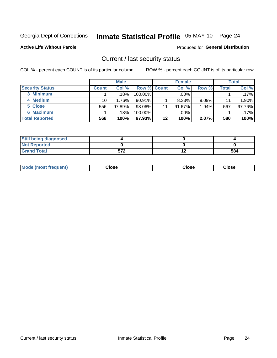# Inmate Statistical Profile 05-MAY-10 Page 24

**Active Life Without Parole** 

#### Produced for General Distribution

### Current / last security status

COL % - percent each COUNT is of its particular column

|                       |              | <b>Male</b> |                    |    | <b>Female</b> |          |       | <b>Total</b> |
|-----------------------|--------------|-------------|--------------------|----|---------------|----------|-------|--------------|
| Security Status       | <b>Count</b> | Col%        | <b>Row % Count</b> |    | Col %         | Row %    | Total | Col %        |
| 3 Minimum             |              | .18%        | 100.00%            |    | $.00\%$       |          |       | $.17\%$      |
| 4 Medium              | 10           | 1.76%       | $90.91\%$          |    | 8.33%         | $9.09\%$ | 11    | 1.90%        |
| 5 Close               | 556          | 97.89%      | 98.06%             | 11 | 91.67%        | 1.94%    | 567   | 97.76%       |
| <b>6 Maximum</b>      |              | .18%        | 100.00%            |    | .00%          |          |       | $.17\%$      |
| <b>Total Reported</b> | 568          | 100%        | 97.93%             | 12 | 100%          | 2.07%    | 580   | 100%         |

| <b>Still being diagnosed</b> |            |    |     |
|------------------------------|------------|----|-----|
| <b>Not Reported</b>          |            |    |     |
| <b>Grand Total</b>           | ヒフク<br>51L | '' | 584 |

| Mode (most | Close   | Close   | Close   |
|------------|---------|---------|---------|
| frequent)  | - - - - | - - - - | - - - - |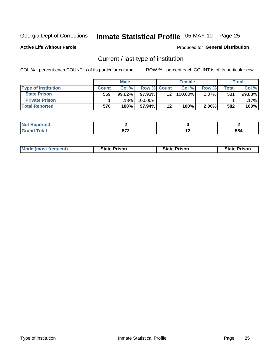# Inmate Statistical Profile 05-MAY-10 Page 25

**Active Life Without Parole** 

Produced for General Distribution

# Current / last type of institution

COL % - percent each COUNT is of its particular column

|                            |              | <b>Male</b> |             |         | <b>Female</b> |          |              | <b>Total</b> |
|----------------------------|--------------|-------------|-------------|---------|---------------|----------|--------------|--------------|
| <b>Type of Institution</b> | <b>Count</b> | Col%        | Row % Count |         | Col %         | Row %    | <b>Total</b> | Col %        |
| <b>State Prison</b>        | 569          | $99.82\%$   | 97.93%      | 12      | 100.00%       | $2.07\%$ | 581          | 99.83%       |
| <b>Private Prison</b>      |              | .18% l      | 100.00%     |         |               |          |              | .17% l       |
| <b>Total Reported</b>      | 570'         | 100%        | $97.94\%$   | $12 \,$ | 100%          | $2.06\%$ | 582          | 100%         |

| τeα |                                     |     |     |
|-----|-------------------------------------|-----|-----|
|     | $F = 0$<br>$\overline{\phantom{a}}$ | . . | 584 |

| <b>Mode (most frequent)</b> | <b>State Prison</b> | <b>State Prison</b> | <b>State Prison</b> |
|-----------------------------|---------------------|---------------------|---------------------|
|                             |                     |                     |                     |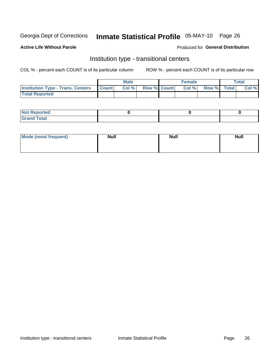# Inmate Statistical Profile 05-MAY-10 Page 26

#### **Active Life Without Parole**

#### Produced for General Distribution

## Institution type - transitional centers

COL % - percent each COUNT is of its particular column

|                                                | <b>Male</b> |                          | <b>Female</b> |             | Total |
|------------------------------------------------|-------------|--------------------------|---------------|-------------|-------|
| <b>Institution Type - Trans. Centers Count</b> |             | <b>Col %</b> Row % Count | Col%          | Row % Total | Col % |
| <b>Total Reported</b>                          |             |                          |               |             |       |

| <b>Reported</b><br><b>NOT</b>  |  |  |
|--------------------------------|--|--|
| $n+n$<br>C <sub>r</sub><br>--- |  |  |

| Mode (most frequent) | <b>Null</b> | <b>Null</b> | <b>Null</b> |
|----------------------|-------------|-------------|-------------|
|                      |             |             |             |
|                      |             |             |             |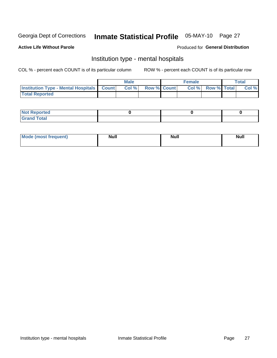# Inmate Statistical Profile 05-MAY-10 Page 27

#### **Active Life Without Parole**

#### Produced for General Distribution

### Institution type - mental hospitals

COL % - percent each COUNT is of its particular column

|                                                  | <b>Male</b> |                    | <b>Female</b> |                   | Total |
|--------------------------------------------------|-------------|--------------------|---------------|-------------------|-------|
| <b>Institution Type - Mental Hospitals Count</b> | Col%        | <b>Row % Count</b> |               | Col % Row % Total | Col%  |
| <b>Total Reported</b>                            |             |                    |               |                   |       |

| <b>Not Reported</b>                     |  |  |
|-----------------------------------------|--|--|
| <b>otal</b><br>C <sub>r</sub><br>______ |  |  |

| Mode.<br>frequent) | <b>Nul</b><br>_____ | <b>Null</b> | <b>Null</b> |
|--------------------|---------------------|-------------|-------------|
|                    |                     |             |             |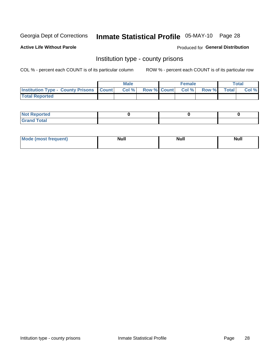# Inmate Statistical Profile 05-MAY-10 Page 28

**Active Life Without Parole** 

Produced for General Distribution

### Institution type - county prisons

COL % - percent each COUNT is of its particular column

|                                                    | <b>Male</b> |                          | <b>Female</b> |             | <b>Total</b> |
|----------------------------------------------------|-------------|--------------------------|---------------|-------------|--------------|
| <b>Institution Type - County Prisons   Count  </b> | Col %       | <b>Row % Count Col %</b> |               | Row % Total | Col %        |
| <b>Total Reported</b>                              |             |                          |               |             |              |

| <b>Not Reported</b>         |  |  |
|-----------------------------|--|--|
| <b>Total</b><br>-<br>______ |  |  |

| <b>Mode</b>      | <b>Null</b> | <b>Null</b> | <b>Null</b> |
|------------------|-------------|-------------|-------------|
| (most freauent). |             |             |             |
|                  |             |             |             |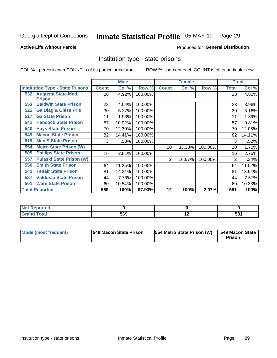# Inmate Statistical Profile 05-MAY-10 Page 29

#### **Active Life Without Parole**

#### Produced for General Distribution

### Institution type - state prisons

COL % - percent each COUNT is of its particular column

|                                         |              | <b>Male</b> |         |              | <b>Female</b> |         | <b>Total</b> |        |
|-----------------------------------------|--------------|-------------|---------|--------------|---------------|---------|--------------|--------|
| <b>Institution Type - State Prisons</b> | <b>Count</b> | Col %       | Row %   | <b>Count</b> | Col %         | Row %   | Total        | Col %  |
| 532 Augusta State Med.<br><b>Prison</b> | 28           | 4.92%       | 100.00% |              |               |         | 28           | 4.82%  |
| <b>Baldwin State Prison</b><br>553      | 23           | 4.04%       | 100.00% |              |               |         | 23           | 3.96%  |
| <b>Ga Diag &amp; Class Pris</b><br>521  | 30           | 5.27%       | 100.00% |              |               |         | 30           | 5.16%  |
| <b>Ga State Prison</b><br>517           | 11           | 1.93%       | 100.00% |              |               |         | 11           | 1.89%  |
| <b>Hancock State Prison</b><br>541      | 57           | 10.02%      | 100.00% |              |               |         | 57           | 9.81%  |
| <b>Hays State Prison</b><br>540         | 70           | 12.30%      | 100.00% |              |               |         | 70           | 12.05% |
| <b>Macon State Prison</b><br>549        | 82           | 14.41%      | 100.00% |              |               |         | 82           | 14.11% |
| <b>Men'S State Prison</b><br>519        | 3            | .53%        | 100.00% |              |               |         | 3            | .52%   |
| <b>Metro State Prison (W)</b><br>554    |              |             |         | 10           | 83.33%        | 100.00% | 10           | 1.72%  |
| <b>Phillips State Prison</b><br>505     | 16           | 2.81%       | 100.00% |              |               |         | 16           | 2.75%  |
| <b>Pulaski State Prison (W)</b><br>557  |              |             |         | 2            | 16.67%        | 100.00% | 2            | .34%   |
| <b>Smith State Prison</b><br>550        | 64           | 11.25%      | 100.00% |              |               |         | 64           | 11.02% |
| <b>Telfair State Prison</b><br>542      | 81           | 14.24%      | 100.00% |              |               |         | 81           | 13.94% |
| <b>Valdosta State Prison</b><br>537     | 44           | 7.73%       | 100.00% |              |               |         | 44           | 7.57%  |
| <b>Ware State Prison</b><br>501         | 60           | 10.54%      | 100.00% |              |               |         | 60           | 10.33% |
| <b>Total Reported</b>                   | 569          | 100%        | 97.93%  | 12           | 100%          | 2.07%   | 581          | 100%   |

| Reported<br>. |     |                          |     |
|---------------|-----|--------------------------|-----|
| <b>otal</b>   | 569 | $\overline{\phantom{0}}$ | 581 |

| Mode (most frequent) | <b>1549 Macon State Prison</b> | 554 Metro State Prison (W)   549 Macon State | <b>Prison</b> |
|----------------------|--------------------------------|----------------------------------------------|---------------|
|----------------------|--------------------------------|----------------------------------------------|---------------|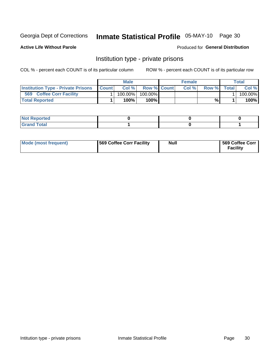# Inmate Statistical Profile 05-MAY-10 Page 30

**Active Life Without Parole** 

Produced for General Distribution

### Institution type - private prisons

COL % - percent each COUNT is of its particular column

|                                           |              | <b>Male</b> |                    | <b>Female</b> |       |              | Total   |
|-------------------------------------------|--------------|-------------|--------------------|---------------|-------|--------------|---------|
| <b>Institution Type - Private Prisons</b> | <b>Count</b> | Col%        | <b>Row % Count</b> | Col $%$       | Row % | <b>Total</b> | Col %   |
| 569<br><b>Coffee Corr Facility</b>        |              | $100.00\%$  | 100.00%            |               |       |              | 100.00% |
| <b>Total Reported</b>                     |              | $100\%$ .   | 100%               |               | %     |              | 100%    |

| Not Reported |  |  |
|--------------|--|--|
|              |  |  |

| Mode (most frequent) | 569 Coffee Corr Facility | <b>Null</b> | 569 Coffee Corr<br><b>Facility</b> |
|----------------------|--------------------------|-------------|------------------------------------|
|----------------------|--------------------------|-------------|------------------------------------|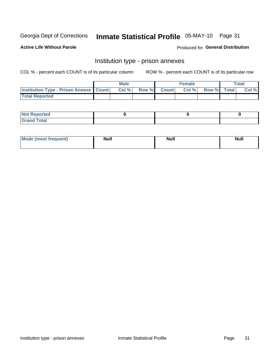# Inmate Statistical Profile 05-MAY-10 Page 31

**Active Life Without Parole** 

**Produced for General Distribution** 

# Institution type - prison annexes

COL % - percent each COUNT is of its particular column

|                                                   | <b>Male</b> |              |       | <b>Female</b> |                    | <b>Total</b> |
|---------------------------------------------------|-------------|--------------|-------|---------------|--------------------|--------------|
| <b>Institution Type - Prison Annexe   Count  </b> | Col %       | <b>Row %</b> | Count | Col %         | <b>Row %</b> Total | Col %        |
| <b>Total Reported</b>                             |             |              |       |               |                    |              |

| <b>Reported</b><br>I NOT                      |  |  |
|-----------------------------------------------|--|--|
| <b>Total</b><br>Carar<br>$\sim$ . When $\sim$ |  |  |

| <b>Mode</b>     | <b>Null</b> | <b>Null</b> | <b>Null</b> |
|-----------------|-------------|-------------|-------------|
| most frequent). |             |             |             |
|                 |             |             |             |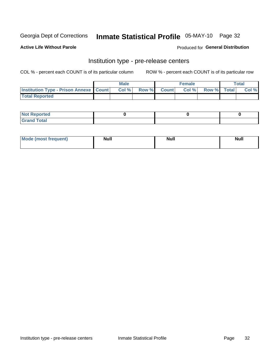# Inmate Statistical Profile 05-MAY-10 Page 32

**Active Life Without Parole** 

Produced for General Distribution

# Institution type - pre-release centers

COL % - percent each COUNT is of its particular column

|                                                   | <b>Male</b> |              |       | <b>Female</b> |                    | <b>Total</b> |
|---------------------------------------------------|-------------|--------------|-------|---------------|--------------------|--------------|
| <b>Institution Type - Prison Annexe   Count  </b> | Col %       | <b>Row %</b> | Count | Col %         | <b>Row %</b> Total | Col %        |
| <b>Total Reported</b>                             |             |              |       |               |                    |              |

| <b>Reported</b><br>I NOT                      |  |  |
|-----------------------------------------------|--|--|
| <b>Total</b><br>Carar<br>$\sim$ . When $\sim$ |  |  |

| $^{\circ}$ Mo<br>frequent)<br>⊥(mos* | <b>Null</b> | Noll<br><b>vull</b> | <b>Null</b> |
|--------------------------------------|-------------|---------------------|-------------|
|                                      |             |                     |             |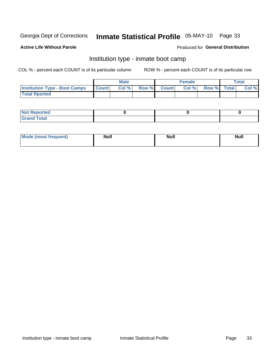# Inmate Statistical Profile 05-MAY-10 Page 33

#### **Active Life Without Parole**

#### Produced for General Distribution

## Institution type - inmate boot camp

COL % - percent each COUNT is of its particular column

|                                      |              | <b>Male</b> |             | <b>Female</b> |             | Total |
|--------------------------------------|--------------|-------------|-------------|---------------|-------------|-------|
| <b>Institution Type - Boot Camps</b> | <b>Count</b> | Col %       | Row % Count | Col%          | Row % Total | Col % |
| <b>Total Rported</b>                 |              |             |             |               |             |       |

| <b>Not Reported</b> |  |  |
|---------------------|--|--|
| <b>Total</b><br>Cro |  |  |

| <b>I Mode (most frequent)</b> | <b>Null</b> | <b>Null</b> | <b>Null</b> |
|-------------------------------|-------------|-------------|-------------|
|                               |             |             |             |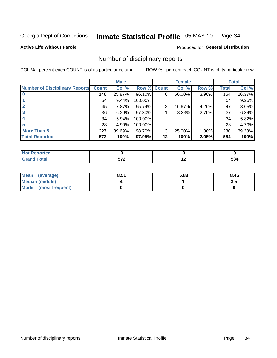# Inmate Statistical Profile 05-MAY-10 Page 34

### **Active Life Without Parole**

### **Produced for General Distribution**

### Number of disciplinary reports

COL % - percent each COUNT is of its particular column

|                                       |              | <b>Male</b> |             |         | <b>Female</b> |       |              | <b>Total</b> |
|---------------------------------------|--------------|-------------|-------------|---------|---------------|-------|--------------|--------------|
| <b>Number of Disciplinary Reports</b> | <b>Count</b> | Col %       | Row % Count |         | Col %         | Row % | <b>Total</b> | Col %        |
|                                       | 148          | 25.87%      | 96.10%      | 6       | 50.00%        | 3.90% | 154          | 26.37%       |
|                                       | 54           | 9.44%       | 100.00%     |         |               |       | 54           | 9.25%        |
|                                       | 45           | 7.87%       | 95.74%      | 2       | 16.67%        | 4.26% | 47           | 8.05%        |
| 3                                     | 36           | 6.29%       | 97.30%      |         | 8.33%         | 2.70% | 37           | 6.34%        |
|                                       | 34           | 5.94%       | 100.00%     |         |               |       | 34           | 5.82%        |
| 5                                     | 28           | 4.90%       | 100.00%     |         |               |       | 28           | 4.79%        |
| <b>More Than 5</b>                    | 227          | 39.69%      | 98.70%      | 3       | 25.00%        | 1.30% | 230          | 39.38%       |
| <b>Total Reported</b>                 | 572          | 100%        | 97.95%      | $12 \,$ | 100%          | 2.05% | 584          | 100%         |

| ted.<br>NO   |     |     |
|--------------|-----|-----|
| <b>Total</b> | ドフク | 584 |

| Mean (average)       | 8.51 | 5.83 | 8.45 |
|----------------------|------|------|------|
| Median (middle)      |      |      | 3.5  |
| Mode (most frequent) |      |      |      |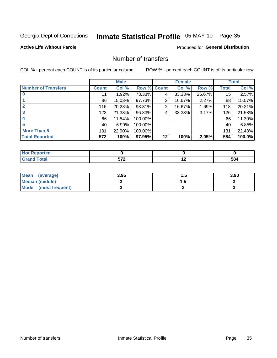# Inmate Statistical Profile 05-MAY-10 Page 35

### **Active Life Without Parole**

### **Produced for General Distribution**

### Number of transfers

COL % - percent each COUNT is of its particular column

|                            |              | <b>Male</b> |             |    | <b>Female</b> |        |              | <b>Total</b> |
|----------------------------|--------------|-------------|-------------|----|---------------|--------|--------------|--------------|
| <b>Number of Transfers</b> | <b>Count</b> | Col %       | Row % Count |    | Col %         | Row %  | <b>Total</b> | Col %        |
|                            | 11           | 1.92%       | 73.33%      | 4  | 33.33%        | 26.67% | 15           | 2.57%        |
|                            | 86           | 15.03%      | 97.73%      | 2  | 16.67%        | 2.27%  | 88           | 15.07%       |
| 2                          | 116          | 20.28%      | 98.31%      | 2  | 16.67%        | 1.69%  | 118          | 20.21%       |
| 3                          | 122          | 21.33%      | 96.83%      | 4  | 33.33%        | 3.17%  | 126          | 21.58%       |
|                            | 66           | 11.54%      | 100.00%     |    |               |        | 66           | 11.30%       |
| 5                          | 40           | 6.99%       | 100.00%     |    |               |        | 40           | 6.85%        |
| <b>More Than 5</b>         | 131          | 22.90%      | 100.00%     |    |               |        | 131          | 22.43%       |
| <b>Total Reported</b>      | 572          | 100%        | 97.95%      | 12 | 100%          | 2.05%  | 584          | 100.0%       |

| المتراسم بالمعار<br>тео<br>N |                      |     |     |
|------------------------------|----------------------|-----|-----|
| <b>Total</b>                 | ---<br>$\sim$ $\sim$ | . . | 584 |

| Mean (average)       | 3.95 | . . | 3.90 |
|----------------------|------|-----|------|
| Median (middle)      |      |     |      |
| Mode (most frequent) |      |     |      |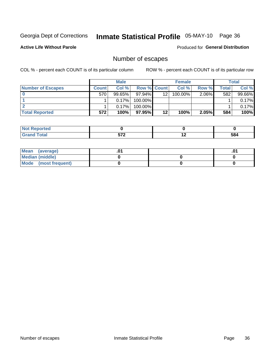# Inmate Statistical Profile 05-MAY-10 Page 36

**Active Life Without Parole** 

Produced for General Distribution

# Number of escapes

COL % - percent each COUNT is of its particular column

|                          |              | <b>Male</b> |                    |                 | <b>Female</b> |       |       | Total  |
|--------------------------|--------------|-------------|--------------------|-----------------|---------------|-------|-------|--------|
| <b>Number of Escapes</b> | <b>Count</b> | Col%        | <b>Row % Count</b> |                 | Col %         | Row % | Total | Col %  |
|                          | 570          | $99.65\%$   | $97.94\%$          | 12 <sup>2</sup> | $100.00\%$    | 2.06% | 582   | 99.66% |
|                          |              | 0.17%       | $100.00\%$         |                 |               |       |       | 0.17%  |
|                          |              | 0.17%       | $100.00\%$         |                 |               |       |       | 0.17%  |
| <b>Total Reported</b>    | 572          | 100%        | 97.95% I           | 12              | 100%          | 2.05% | 584   | 100%   |

| วrted<br><b>NOT</b><br>∍⊼eper |     |     |     |
|-------------------------------|-----|-----|-----|
| <b>fotal</b><br>Grand         | ドフク | . . | 584 |

| Mean (average)       |  | .01 |
|----------------------|--|-----|
| Median (middle)      |  |     |
| Mode (most frequent) |  |     |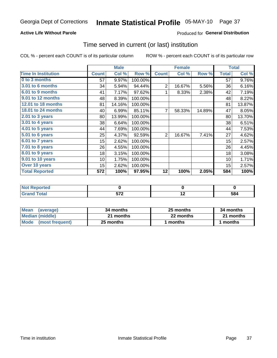#### **Active Life Without Parole**

### Produced for General Distribution

### Time served in current (or last) institution

COL % - percent each COUNT is of its particular column

|                              |              | <b>Male</b> |         |                | <b>Female</b> |        |              | <b>Total</b> |
|------------------------------|--------------|-------------|---------|----------------|---------------|--------|--------------|--------------|
| <b>Time In Institution</b>   | <b>Count</b> | Col %       | Row %   | <b>Count</b>   | Col %         | Row %  | <b>Total</b> | Col %        |
| 0 to 3 months                | 57           | 9.97%       | 100.00% |                |               |        | 57           | 9.76%        |
| 3.01 to 6 months             | 34           | 5.94%       | 94.44%  | $\overline{2}$ | 16.67%        | 5.56%  | 36           | 6.16%        |
| 6.01 to 9 months             | 41           | 7.17%       | 97.62%  | 1              | 8.33%         | 2.38%  | 42           | 7.19%        |
| 9.01 to 12 months            | 48           | 8.39%       | 100.00% |                |               |        | 48           | 8.22%        |
| 12.01 to 18 months           | 81           | 14.16%      | 100.00% |                |               |        | 81           | 13.87%       |
| <b>18.01 to 24 months</b>    | 40           | 6.99%       | 85.11%  | 7              | 58.33%        | 14.89% | 47           | 8.05%        |
| $2.01$ to 3 years            | 80           | 13.99%      | 100.00% |                |               |        | 80           | 13.70%       |
| 3.01 to 4 years              | 38           | 6.64%       | 100.00% |                |               |        | 38           | 6.51%        |
| $4.01$ to 5 years            | 44           | 7.69%       | 100.00% |                |               |        | 44           | 7.53%        |
| $\overline{5.01}$ to 6 years | 25           | 4.37%       | 92.59%  | $\overline{2}$ | 16.67%        | 7.41%  | 27           | 4.62%        |
| 6.01 to 7 years              | 15           | 2.62%       | 100.00% |                |               |        | 15           | 2.57%        |
| $7.01$ to 8 years            | 26           | 4.55%       | 100.00% |                |               |        | 26           | 4.45%        |
| $8.01$ to 9 years            | 18           | 3.15%       | 100.00% |                |               |        | 18           | 3.08%        |
| 9.01 to 10 years             | 10           | 1.75%       | 100.00% |                |               |        | 10           | 1.71%        |
| Over 10 years                | 15           | 2.62%       | 100.00% |                |               |        | 15           | 2.57%        |
| <b>Total Reported</b>        | 572          | 100%        | 97.95%  | 12             | 100%          | 2.05%  | 584          | 100%         |

| <b>Not</b><br><b>Reported</b> |                             |     |     |
|-------------------------------|-----------------------------|-----|-----|
| <b>Total</b>                  | <b>F70</b><br>$\cdot$ . $-$ | . . | 584 |

| <b>Mean</b><br>(average) | 34 months | 25 months | 34 months |
|--------------------------|-----------|-----------|-----------|
| Median (middle)          | 21 months | 22 months | 21 months |
| Mode (most frequent)     | 25 months | 1 months  | 1 months  |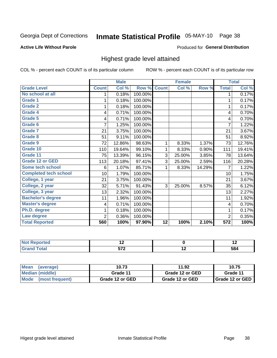## Inmate Statistical Profile 05-MAY-10 Page 38

#### **Active Life Without Parole**

#### **Produced for General Distribution**

## Highest grade level attained

COL % - percent each COUNT is of its particular column

|                              |                | <b>Male</b> |         |                 | <b>Female</b> |        |                  | <b>Total</b> |
|------------------------------|----------------|-------------|---------|-----------------|---------------|--------|------------------|--------------|
| <b>Grade Level</b>           | <b>Count</b>   | Col %       | Row %   | <b>Count</b>    | Col %         | Row %  | <b>Total</b>     | Col %        |
| No school at all             | 1              | 0.18%       | 100.00% |                 |               |        | 1                | 0.17%        |
| <b>Grade 1</b>               | 1              | 0.18%       | 100.00% |                 |               |        | 1                | 0.17%        |
| <b>Grade 2</b>               | 1              | 0.18%       | 100.00% |                 |               |        | 1                | 0.17%        |
| <b>Grade 4</b>               | 4              | 0.71%       | 100.00% |                 |               |        | 4                | 0.70%        |
| Grade 5                      | 4              | 0.71%       | 100.00% |                 |               |        | 4                | 0.70%        |
| Grade 6                      | 7              | 1.25%       | 100.00% |                 |               |        | $\overline{7}$   | 1.22%        |
| <b>Grade 7</b>               | 21             | 3.75%       | 100.00% |                 |               |        | 21               | 3.67%        |
| <b>Grade 8</b>               | 51             | 9.11%       | 100.00% |                 |               |        | 51               | 8.92%        |
| <b>Grade 9</b>               | 72             | 12.86%      | 98.63%  | 1               | 8.33%         | 1.37%  | 73               | 12.76%       |
| Grade 10                     | 110            | 19.64%      | 99.10%  | 1               | 8.33%         | 0.90%  | 111              | 19.41%       |
| Grade 11                     | 75             | 13.39%      | 96.15%  | 3               | 25.00%        | 3.85%  | 78               | 13.64%       |
| <b>Grade 12 or GED</b>       | 113            | 20.18%      | 97.41%  | 3               | 25.00%        | 2.59%  | 116              | 20.28%       |
| <b>Some tech school</b>      | 6              | 1.07%       | 85.71%  | 1               | 8.33%         | 14.29% | 7                | 1.22%        |
| <b>Completed tech school</b> | 10             | 1.79%       | 100.00% |                 |               |        | 10               | 1.75%        |
| College, 1 year              | 21             | 3.75%       | 100.00% |                 |               |        | 21               | 3.67%        |
| College, 2 year              | 32             | 5.71%       | 91.43%  | 3               | 25.00%        | 8.57%  | 35               | 6.12%        |
| College, 3 year              | 13             | 2.32%       | 100.00% |                 |               |        | 13               | 2.27%        |
| <b>Bachelor's degree</b>     | 11             | 1.96%       | 100.00% |                 |               |        | 11               | 1.92%        |
| <b>Master's degree</b>       | 4              | 0.71%       | 100.00% |                 |               |        | 4                | 0.70%        |
| Ph.D. degree                 | 1              | 0.18%       | 100.00% |                 |               |        | 1                | 0.17%        |
| Law degree                   | $\overline{2}$ | 0.36%       | 100.00% |                 |               |        | $\overline{2}$   | 0.35%        |
| <b>Total Reported</b>        | 560            | 100%        | 97.90%  | $\overline{12}$ | 100%          | 2.10%  | $\overline{572}$ | 100%         |

| olateloi | $\overline{\phantom{a}}$ |    | $\overline{\phantom{a}}$ |
|----------|--------------------------|----|--------------------------|
|          | ---                      | -- | 584                      |

| Mean<br>(average)              | 10.73           | 11.92           | 10.75             |
|--------------------------------|-----------------|-----------------|-------------------|
| <b>Median (middle)</b>         | Grade 11        | Grade 12 or GED | Grade 11          |
| <b>Mode</b><br>(most frequent) | Grade 12 or GED | Grade 12 or GED | I Grade 12 or GED |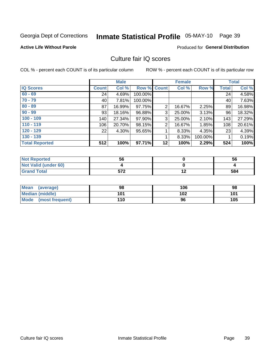## Inmate Statistical Profile 05-MAY-10 Page 39

#### **Active Life Without Parole**

#### **Produced for General Distribution**

## Culture fair IQ scores

COL % - percent each COUNT is of its particular column

|                       |              | <b>Male</b> |                    |                | <b>Female</b> |          |              | <b>Total</b> |
|-----------------------|--------------|-------------|--------------------|----------------|---------------|----------|--------------|--------------|
| <b>IQ Scores</b>      | <b>Count</b> | Col %       | <b>Row % Count</b> |                | Col %         | Row %    | <b>Total</b> | Col %        |
| $60 - 69$             | 24           | 4.69%       | 100.00%            |                |               |          | 24           | 4.58%        |
| $70 - 79$             | 40           | 7.81%       | 100.00%            |                |               |          | 40           | 7.63%        |
| $80 - 89$             | 87           | 16.99%      | 97.75%             | $\overline{2}$ | 16.67%        | $2.25\%$ | 89           | 16.98%       |
| $90 - 99$             | 93           | 18.16%      | 96.88%             | 3              | 25.00%        | 3.13%    | 96           | 18.32%       |
| $100 - 109$           | 140          | 27.34%      | 97.90%             | 3              | 25.00%        | 2.10%    | 143          | 27.29%       |
| $110 - 119$           | 106          | 20.70%      | 98.15%             | 2              | 16.67%        | 1.85%    | 108          | 20.61%       |
| $120 - 129$           | 22           | 4.30%       | 95.65%             |                | 8.33%         | 4.35%    | 23           | 4.39%        |
| $130 - 139$           |              |             |                    |                | 8.33%         | 100.00%  |              | 0.19%        |
| <b>Total Reported</b> | 512          | 100%        | 97.71%             | 12             | 100%          | 2.29%    | 524          | 100%         |

| <b>Not Reported</b>  | 56                | 56  |
|----------------------|-------------------|-----|
| Not Valid (under 60) |                   |     |
| <b>Grand Total</b>   | ドフク<br><b>JIL</b> | 584 |

| Mean<br>(average)    | 98  | 106 | 98  |
|----------------------|-----|-----|-----|
| Median (middle)      | 101 | 102 | 101 |
| Mode (most frequent) | 110 | 96  | 105 |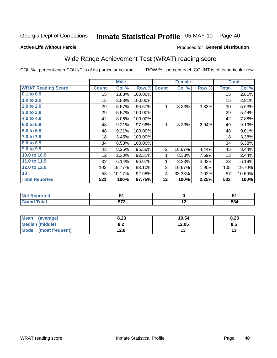## Inmate Statistical Profile 05-MAY-10 Page 40

#### **Active Life Without Parole**

### Produced for General Distribution

## Wide Range Achievement Test (WRAT) reading score

COL % - percent each COUNT is of its particular column

|                           |                  | <b>Male</b> |         |                | <b>Female</b>   |       |                  | <b>Total</b> |
|---------------------------|------------------|-------------|---------|----------------|-----------------|-------|------------------|--------------|
| <b>WRAT Reading Score</b> | <b>Count</b>     | Col %       | Row %   | <b>Count</b>   | Col %           | Row % | <b>Total</b>     | Col %        |
| $0.1$ to $0.9$            | 15               | 2.88%       | 100.00% |                |                 |       | 15               | 2.81%        |
| 1.0 to 1.9                | 15               | 2.88%       | 100.00% |                |                 |       | 15               | 2.81%        |
| 2.0 to 2.9                | 29               | 5.57%       | 96.67%  | 1              | 8.33%           | 3.33% | 30               | 5.63%        |
| 3.0 to 3.9                | 29               | 5.57%       | 100.00% |                |                 |       | 29               | 5.44%        |
| 4.0 to 4.9                | 42               | 8.06%       | 100.00% |                |                 |       | 42               | 7.88%        |
| 5.0 to 5.9                | 48               | 9.21%       | 97.96%  | 1              | 8.33%           | 2.04% | 49               | 9.19%        |
| 6.0 to 6.9                | 48               | 9.21%       | 100.00% |                |                 |       | 48               | 9.01%        |
| 7.0 to 7.9                | 18               | 3.45%       | 100.00% |                |                 |       | 18               | 3.38%        |
| 8.0 to 8.9                | 34               | 6.53%       | 100.00% |                |                 |       | 34               | 6.38%        |
| 9.0 to 9.9                | 43               | 8.25%       | 95.56%  | $\overline{2}$ | 16.67%          | 4.44% | 45               | 8.44%        |
| 10.0 to 10.9              | 12               | 2.30%       | 92.31%  | 1              | 8.33%           | 7.69% | 13               | 2.44%        |
| 11.0 to 11.9              | 32               | 6.14%       | 96.97%  | 1              | 8.33%           | 3.03% | 33               | 6.19%        |
| 12.0 to 12.9              | 103              | 19.77%      | 98.10%  | $\overline{2}$ | 16.67%          | 1.90% | 105              | 19.70%       |
| 13                        | 53               | 10.17%      | 92.98%  | 4              | 33.33%          | 7.02% | 57               | 10.69%       |
| <b>Total Reported</b>     | $\overline{521}$ | 100%        | 97.75%  | 12             | 100%            | 2.25% | $\overline{533}$ | 100%         |
|                           |                  |             |         |                |                 |       |                  |              |
| <b>Not Reported</b>       |                  | 51          |         |                | $\pmb{0}$       |       |                  | 51           |
| <b>Grand Total</b>        |                  | 572         |         |                | $\overline{12}$ |       |                  | 584          |

| <b>Mean</b><br>(average)       | 8.23       | 10.54 | 8.28 |
|--------------------------------|------------|-------|------|
| <b>Median (middle)</b>         | ה ה<br>0.Z | 12.05 | ช.ว  |
| <b>Mode</b><br>(most frequent) | 12.8       | ں .   | יי   |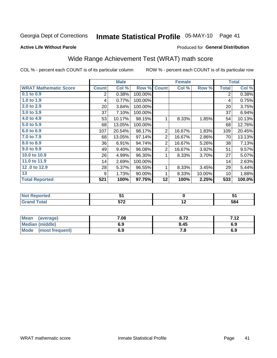## Inmate Statistical Profile 05-MAY-10 Page 41

#### **Active Life Without Parole**

#### Produced for General Distribution

## Wide Range Achievement Test (WRAT) math score

COL % - percent each COUNT is of its particular column

ROW % - percent each COUNT is of its particular row

|                              |              | <b>Male</b> |         |                | <b>Female</b> |        |              | <b>Total</b> |
|------------------------------|--------------|-------------|---------|----------------|---------------|--------|--------------|--------------|
| <b>WRAT Mathematic Score</b> | <b>Count</b> | Col %       | Row %   | <b>Count</b>   | Col %         | Row %  | <b>Total</b> | Col %        |
| 0.1 to 0.9                   | 2            | 0.38%       | 100.00% |                |               |        | 2            | 0.38%        |
| 1.0 to 1.9                   | 4            | 0.77%       | 100.00% |                |               |        | 4            | 0.75%        |
| 2.0 to 2.9                   | 20           | 3.84%       | 100.00% |                |               |        | 20           | 3.75%        |
| 3.0 to 3.9                   | 37           | 7.10%       | 100.00% |                |               |        | 37           | 6.94%        |
| 4.0 to 4.9                   | 53           | 10.17%      | 98.15%  | 1              | 8.33%         | 1.85%  | 54           | 10.13%       |
| 5.0 t0 5.9                   | 68           | 13.05%      | 100.00% |                |               |        | 68           | 12.76%       |
| 6.0 to 6.9                   | 107          | 20.54%      | 98.17%  | $\overline{2}$ | 16.67%        | 1.83%  | 109          | 20.45%       |
| 7.0 to 7.9                   | 68           | 13.05%      | 97.14%  | $\overline{2}$ | 16.67%        | 2.86%  | 70           | 13.13%       |
| 8.0 to 8.9                   | 36           | 6.91%       | 94.74%  | $\overline{2}$ | 16.67%        | 5.26%  | 38           | 7.13%        |
| 9.0 to 9.9                   | 49           | 9.40%       | 96.08%  | $\overline{2}$ | 16.67%        | 3.92%  | 51           | 9.57%        |
| 10.0 to 10.9                 | 26           | 4.99%       | 96.30%  | 1              | 8.33%         | 3.70%  | 27           | 5.07%        |
| 11.0 to $11.9$               | 14           | 2.69%       | 100.00% |                |               |        | 14           | 2.63%        |
| 12.0 to 12.9                 | 28           | 5.37%       | 96.55%  | 1              | 8.33%         | 3.45%  | 29           | 5.44%        |
| 13                           | 9            | 1.73%       | 90.00%  | 1              | 8.33%         | 10.00% | 10           | 1.88%        |
| <b>Total Reported</b>        | 521          | 100%        | 97.75%  | 12             | 100%          | 2.25%  | 533          | 100.0%       |
|                              |              |             |         |                |               |        |              |              |
| <b>Not Reported</b>          |              | 51          |         |                | $\pmb{0}$     |        |              | 51           |
| <b>Grand Total</b>           |              | 572         |         |                | 12            |        |              | 584          |

| <b>Mean</b><br>(average) | 7.08 | o 70<br>0.14 | <b>742</b> |
|--------------------------|------|--------------|------------|
| <b>Median (middle)</b>   | 6.9  | 8.45         | 6.9        |
| Mode<br>(most frequent)  | 6.9  | .о           | 6.9        |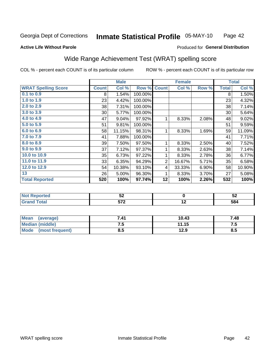#### Inmate Statistical Profile 05-MAY-10 Page 42

#### **Active Life Without Parole**

### Produced for General Distribution

## Wide Range Achievement Test (WRAT) spelling score

COL % - percent each COUNT is of its particular column

|                            |              | <b>Male</b> |         |                | <b>Female</b>   |       |              | <b>Total</b> |
|----------------------------|--------------|-------------|---------|----------------|-----------------|-------|--------------|--------------|
| <b>WRAT Spelling Score</b> | <b>Count</b> | Col %       | Row %   | <b>Count</b>   | Col %           | Row % | <b>Total</b> | Col %        |
| 0.1 to 0.9                 | 8            | 1.54%       | 100.00% |                |                 |       | 8            | 1.50%        |
| 1.0 to 1.9                 | 23           | 4.42%       | 100.00% |                |                 |       | 23           | 4.32%        |
| 2.0 to 2.9                 | 38           | 7.31%       | 100.00% |                |                 |       | 38           | 7.14%        |
| 3.0 to 3.9                 | 30           | 5.77%       | 100.00% |                |                 |       | 30           | 5.64%        |
| 4.0 to 4.9                 | 47           | 9.04%       | 97.92%  | 1              | 8.33%           | 2.08% | 48           | 9.02%        |
| 5.0 to 5.9                 | 51           | 9.81%       | 100.00% |                |                 |       | 51           | 9.59%        |
| 6.0 to 6.9                 | 58           | 11.15%      | 98.31%  | 1              | 8.33%           | 1.69% | 59           | 11.09%       |
| 7.0 to 7.9                 | 41           | 7.88%       | 100.00% |                |                 |       | 41           | 7.71%        |
| 8.0 to 8.9                 | 39           | 7.50%       | 97.50%  | 1              | 8.33%           | 2.50% | 40           | 7.52%        |
| 9.0 to 9.9                 | 37           | 7.12%       | 97.37%  | 1              | 8.33%           | 2.63% | 38           | 7.14%        |
| 10.0 to 10.9               | 35           | 6.73%       | 97.22%  | 1              | 8.33%           | 2.78% | 36           | 6.77%        |
| 11.0 to 11.9               | 33           | 6.35%       | 94.29%  | $\overline{2}$ | 16.67%          | 5.71% | 35           | 6.58%        |
| 12.0 to 12.9               | 54           | 10.38%      | 93.10%  | 4              | 33.33%          | 6.90% | 58           | 10.90%       |
| 13                         | 26           | 5.00%       | 96.30%  | 1              | 8.33%           | 3.70% | 27           | 5.08%        |
| <b>Total Reported</b>      | 520          | 100%        | 97.74%  | 12             | 100%            | 2.26% | 532          | 100%         |
|                            |              |             |         |                |                 |       |              |              |
| <b>Not Reported</b>        |              | 52          |         |                | $\mathbf 0$     |       |              | 52           |
| <b>Grand Total</b>         |              | 572         |         |                | $\overline{12}$ |       |              | 584          |

| Mean<br>(average)              | 7.41 | 10.43 | 7.48 |
|--------------------------------|------|-------|------|
| <b>Median (middle)</b>         | ن. ا | 11.15 | .    |
| <b>Mode</b><br>(most frequent) | 8.5  | 12.9  | ၓ.Ე  |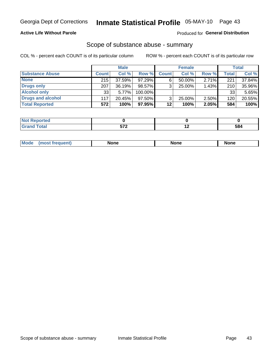#### **Active Life Without Parole**

### Produced for General Distribution

### Scope of substance abuse - summary

COL % - percent each COUNT is of its particular column

|                        |              | <b>Male</b> |           |              | <b>Female</b> |       |              | <b>Total</b> |
|------------------------|--------------|-------------|-----------|--------------|---------------|-------|--------------|--------------|
| <b>Substance Abuse</b> | <b>Count</b> | Col %       | Row %     | <b>Count</b> | Col %         | Row % | <b>Total</b> | Col %        |
| <b>None</b>            | 215          | 37.59%      | 97.29%    |              | $50.00\%$     | 2.71% | 221          | 37.84%       |
| <b>Drugs only</b>      | 207          | 36.19%      | 98.57%    |              | 25.00%        | 1.43% | 210          | 35.96%       |
| <b>Alcohol only</b>    | 33           | 5.77%       | 100.00%   |              |               |       | 33           | 5.65%        |
| Drugs and alcohol      | 117          | $20.45\%$   | $97.50\%$ |              | $25.00\%$     | 2.50% | 120          | 20.55%       |
| <b>Total Reported</b>  | 572          | 100%        | 97.95%    | 12           | 100%          | 2.05% | 584          | 100%         |

| <b>Not</b><br>Reported       |     |     |
|------------------------------|-----|-----|
| <b>Total</b><br><b>Grand</b> | --0 | 584 |

| Mode<br>None<br>None<br>None<br>quenu |
|---------------------------------------|
|---------------------------------------|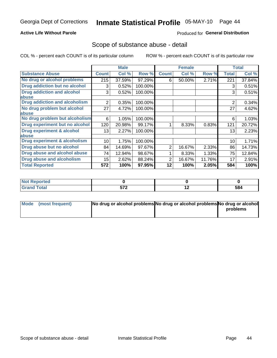#### **Active Life Without Parole**

### Produced for General Distribution

### Scope of substance abuse - detail

COL % - percent each COUNT is of its particular column

|                                         |              | <b>Male</b> |         |              | <b>Female</b> |        |                | <b>Total</b> |
|-----------------------------------------|--------------|-------------|---------|--------------|---------------|--------|----------------|--------------|
| <b>Substance Abuse</b>                  | <b>Count</b> | Col %       | Row %   | <b>Count</b> | Col %         | Row %  | <b>Total</b>   | Col %        |
| No drug or alcohol problems             | 215          | 37.59%      | 97.29%  | 6            | 50.00%        | 2.71%  | 221            | 37.84%       |
| Drug addiction but no alcohol           | 3            | 0.52%       | 100.00% |              |               |        | 3              | 0.51%        |
| <b>Drug addiction and alcohol</b>       | 3            | 0.52%       | 100.00% |              |               |        | 3              | 0.51%        |
| abuse                                   |              |             |         |              |               |        |                |              |
| <b>Drug addiction and alcoholism</b>    | 2            | 0.35%       | 100.00% |              |               |        | $\overline{2}$ | 0.34%        |
| No drug problem but alcohol             | 27           | 4.72%       | 100.00% |              |               |        | 27             | 4.62%        |
| abuse                                   |              |             |         |              |               |        |                |              |
| No drug problem but alcoholism          | 6            | 1.05%       | 100.00% |              |               |        | 6              | 1.03%        |
| Drug experiment but no alcohol          | 120          | 20.98%      | 99.17%  |              | 8.33%         | 0.83%  | 121            | 20.72%       |
| <b>Drug experiment &amp; alcohol</b>    | 13           | 2.27%       | 100.00% |              |               |        | 13             | 2.23%        |
| abuse                                   |              |             |         |              |               |        |                |              |
| <b>Drug experiment &amp; alcoholism</b> | 10           | 1.75%       | 100.00% |              |               |        | 10             | 1.71%        |
| Drug abuse but no alcohol               | 84           | 14.69%      | 97.67%  | 2            | 16.67%        | 2.33%  | 86             | 14.73%       |
| Drug abuse and alcohol abuse            | 74           | 12.94%      | 98.67%  |              | 8.33%         | 1.33%  | 75             | 12.84%       |
| <b>Drug abuse and alcoholism</b>        | 15           | 2.62%       | 88.24%  | 2            | 16.67%        | 11.76% | 17             | 2.91%        |
| <b>Total Reported</b>                   | 572          | 100%        | 97.95%  | 12           | 100%          | 2.05%  | 584            | 100%         |

| rtea  |                                                  |                          |     |
|-------|--------------------------------------------------|--------------------------|-----|
| _____ | 570<br>$\overline{\phantom{a}}$<br>$\sim$ $\sim$ | $\overline{\phantom{0}}$ | 584 |

| Mode (most frequent) | No drug or alcohol problems No drug or alcohol problems No drug or alcohol |          |
|----------------------|----------------------------------------------------------------------------|----------|
|                      |                                                                            | problems |
|                      |                                                                            |          |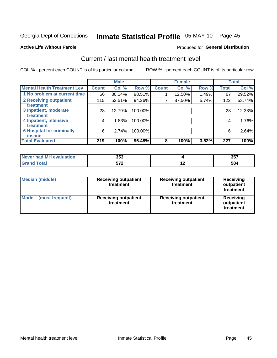## Inmate Statistical Profile 05-MAY-10 Page 45

#### **Active Life Without Parole**

#### **Produced for General Distribution**

## Current / last mental health treatment level

COL % - percent each COUNT is of its particular column

|                                            |              | <b>Male</b> |         |              | <b>Female</b> |       |              | <b>Total</b> |
|--------------------------------------------|--------------|-------------|---------|--------------|---------------|-------|--------------|--------------|
| <b>Mental Health Treatment Lev</b>         | <b>Count</b> | Col %       | Row %   | <b>Count</b> | Col %         | Row % | <b>Total</b> | Col %        |
| 1 No problem at current time               | 66           | 30.14%      | 98.51%  |              | 12.50%        | 1.49% | 67           | 29.52%       |
| 2 Receiving outpatient<br><b>Treatment</b> | 115          | 52.51%      | 94.26%  | 7            | 87.50%        | 5.74% | 122          | 53.74%       |
| 3 Inpatient, moderate                      | 28           | 12.79%      | 100.00% |              |               |       | 28           | 12.33%       |
| Treatment                                  |              |             |         |              |               |       |              |              |
| 4 Inpatient, intensive                     | 4            | 1.83%       | 100.00% |              |               |       | 4            | 1.76%        |
| <b>Treatment</b>                           |              |             |         |              |               |       |              |              |
| <b>6 Hospital for criminally</b>           | 6            | 2.74%       | 100.00% |              |               |       | 6            | 2.64%        |
| <b>Tinsane</b>                             |              |             |         |              |               |       |              |              |
| <b>Total Evaluated</b>                     | 219          | 100%        | 96.48%  | 8            | 100%          | 3.52% | 227          | 100%         |

| evaluation<br>IМ<br>Never I<br>nan | 353        |     | クロフ<br><b>UU</b> |
|------------------------------------|------------|-----|------------------|
|                                    | ヒフヘ<br>JIL | . . | 584              |

| <b>Median (middle)</b>  | <b>Receiving outpatient</b><br>treatment | <b>Receiving outpatient</b><br>treatment | <b>Receiving</b><br>outpatient<br>treatment |  |  |
|-------------------------|------------------------------------------|------------------------------------------|---------------------------------------------|--|--|
| Mode<br>(most frequent) | <b>Receiving outpatient</b><br>treatment | <b>Receiving outpatient</b><br>treatment | Receiving<br>outpatient<br>treatment        |  |  |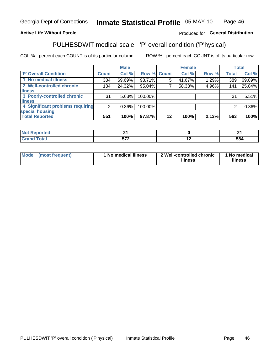#### Inmate Statistical Profile 05-MAY-10 Page 46

#### **Active Life Without Parole**

#### Produced for General Distribution

## PULHESDWIT medical scale - 'P' overall condition ('P'hysical)

COL % - percent each COUNT is of its particular column

|                                  |         | <b>Male</b> |         |             | <b>Female</b> |       |              | <b>Total</b> |
|----------------------------------|---------|-------------|---------|-------------|---------------|-------|--------------|--------------|
| 'P' Overall Condition            | Count l | Col %       |         | Row % Count | Col %         | Row % | <b>Total</b> | Col %        |
| 1 No medical illness             | 384     | 69.69%      | 98.71%  | 5           | 41.67%        | 1.29% | 389          | 69.09%       |
| 2 Well-controlled chronic        | 134     | 24.32%      | 95.04%  |             | 58.33%        | 4.96% | 141          | 25.04%       |
| <b>illness</b>                   |         |             |         |             |               |       |              |              |
| 3 Poorly-controlled chronic      | 31      | 5.63%       | 100.00% |             |               |       | 31           | 5.51%        |
| <b>illness</b>                   |         |             |         |             |               |       |              |              |
| 4 Significant problems requiring | 2       | $0.36\%$    | 100.00% |             |               |       | 2            | 0.36%        |
| special housing                  |         |             |         |             |               |       |              |              |
| <b>Total Reported</b>            | 551     | 100%        | 97.87%  | $12 \,$     | 100%          | 2.13% | 563          | 100%         |

| T 26   | . .<br>$ -$ |                          | $ -$ |
|--------|-------------|--------------------------|------|
| $\sim$ | $- - -$     | $\overline{\phantom{0}}$ | 584  |

| Mode | (most frequent) | <sup>1</sup> No medical illness | 2 Well-controlled chronic<br>illness | 1 No medical<br>illness |
|------|-----------------|---------------------------------|--------------------------------------|-------------------------|
|------|-----------------|---------------------------------|--------------------------------------|-------------------------|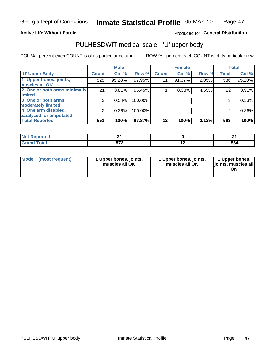#### **Active Life Without Parole**

#### Produced for General Distribution

## PULHESDWIT medical scale - 'U' upper body

COL % - percent each COUNT is of its particular column

|                              |                    | <b>Male</b> |         |              | <b>Female</b> |       |              | <b>Total</b> |
|------------------------------|--------------------|-------------|---------|--------------|---------------|-------|--------------|--------------|
| <b>U' Upper Body</b>         | Count <sup>1</sup> | Col %       | Row %   | <b>Count</b> | Col %         | Row % | <b>Total</b> | Col %        |
| 1 Upper bones, joints,       | 525                | 95.28%      | 97.95%  | 11           | 91.67%        | 2.05% | 536          | 95.20%       |
| muscles all OK               |                    |             |         |              |               |       |              |              |
| 2 One or both arms minimally | 21                 | 3.81%       | 95.45%  |              | 8.33%         | 4.55% | 22           | 3.91%        |
| limited                      |                    |             |         |              |               |       |              |              |
| 3 One or both arms           | 3                  | 0.54%       | 100.00% |              |               |       | 3            | 0.53%        |
| moderately limited           |                    |             |         |              |               |       |              |              |
| 4 One arm disabled,          | 2                  | 0.36%       | 100.00% |              |               |       | 2            | 0.36%        |
| paralyzed, or amputated      |                    |             |         |              |               |       |              |              |
| <b>Total Reported</b>        | 551                | 100%        | 97.87%  | $12 \,$      | 100%          | 2.13% | 563          | 100%         |

| ⊃rτeα<br>NOT<br>. <b>.</b> <u>.</u> |     |     | т.  |
|-------------------------------------|-----|-----|-----|
| .                                   | -70 | . . | 584 |

| <b>Mode</b> | (most frequent) | 1 Upper bones, joints,<br>muscles all OK | 1 Upper bones, joints,<br>muscles all OK | 1 Upper bones,<br>joints, muscles all<br>ΟK |
|-------------|-----------------|------------------------------------------|------------------------------------------|---------------------------------------------|
|-------------|-----------------|------------------------------------------|------------------------------------------|---------------------------------------------|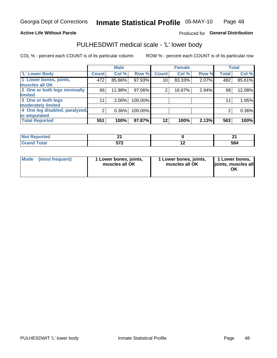#### **Active Life Without Parole**

### Produced for General Distribution

## PULHESDWIT medical scale - 'L' lower body

COL % - percent each COUNT is of its particular column

|                                |              | <b>Male</b> |         |              | <b>Female</b> |       |              | <b>Total</b> |
|--------------------------------|--------------|-------------|---------|--------------|---------------|-------|--------------|--------------|
| 'L' Lower Body                 | <b>Count</b> | Col %       | Row %   | <b>Count</b> | Col %         | Row % | <b>Total</b> | Col %        |
| 1 Lower bones, joints,         | 472          | 85.66%      | 97.93%  | 10           | 83.33%        | 2.07% | 482          | 85.61%       |
| muscles all OK                 |              |             |         |              |               |       |              |              |
| 2 One or both legs minimally   | 66           | 11.98%      | 97.06%  | 2            | 16.67%        | 2.94% | 68           | 12.08%       |
| limited                        |              |             |         |              |               |       |              |              |
| 3 One or both legs             | 11           | $2.00\%$    | 100.00% |              |               |       | 11           | 1.95%        |
| moderately limited             |              |             |         |              |               |       |              |              |
| 4 One leg disabled, paralyzed, | 2            | 0.36%       | 100.00% |              |               |       | 2            | 0.36%        |
| or amputated                   |              |             |         |              |               |       |              |              |
| <b>Total Reported</b>          | 551          | 100%        | 97.87%  | $12 \,$      | 100%          | 2.13% | 563          | 100%         |

| ⊃rτeα<br>NOT<br>. <b>.</b> <u>.</u> |     |     | т.  |
|-------------------------------------|-----|-----|-----|
| .                                   | -70 | . . | 584 |

| Mode | (most frequent) | 1 Lower bones, joints,<br>muscles all OK | 1 Lower bones, joints,<br>muscles all OK | 1 Lower bones,<br>ljoints, muscles all<br>OK |
|------|-----------------|------------------------------------------|------------------------------------------|----------------------------------------------|
|------|-----------------|------------------------------------------|------------------------------------------|----------------------------------------------|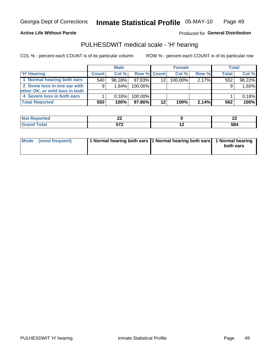**Active Life Without Parole** 

Produced for General Distribution

## PULHESDWIT medical scale - 'H' hearing

COL % - percent each COUNT is of its particular column

|                                |              | <b>Male</b> |                    |         | <b>Female</b> |          | Total |        |
|--------------------------------|--------------|-------------|--------------------|---------|---------------|----------|-------|--------|
| <b>H' Hearing</b>              | <b>Count</b> | Col %       | <b>Row % Count</b> |         | Col %         | Row %    | Total | Col %  |
| 1 Normal hearing both ears     | 540          | 98.18%      | 97.83%             | 12      | 100.00%       | $2.17\%$ | 552   | 98.22% |
| 2 Some loss in one ear with    | 9            | 1.64%       | 100.00%            |         |               |          | 9     | 1.60%  |
| other OK, or mild loss in both |              |             |                    |         |               |          |       |        |
| 4 Severe loss in both ears     |              | 0.18%       | 100.00%            |         |               |          |       | 0.18%  |
| <b>Total Reported</b>          | 550          | 100%        | 97.86%             | $12 \,$ | 100%          | 2.14%    | 562   | 100%   |

| ^^<br>--                      | ^^<br>-- |
|-------------------------------|----------|
| <b>F70</b><br>- -<br>$\cdots$ | 584      |

| Mode (most frequent) | 1 Normal hearing both ears 11 Normal hearing both ears 1 Normal hearing |           |
|----------------------|-------------------------------------------------------------------------|-----------|
|                      |                                                                         | both ears |
|                      |                                                                         |           |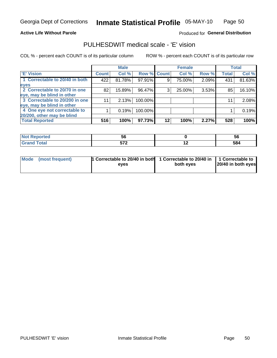#### **Active Life Without Parole**

#### Produced for General Distribution

## PULHESDWIT medical scale - 'E' vision

COL % - percent each COUNT is of its particular column

|                                |              | <b>Male</b> |                    |    | <b>Female</b> |       |              | <b>Total</b> |
|--------------------------------|--------------|-------------|--------------------|----|---------------|-------|--------------|--------------|
| <b>E' Vision</b>               | <b>Count</b> | Col %       | <b>Row % Count</b> |    | Col %         | Row % | <b>Total</b> | Col %        |
| 1 Correctable to 20/40 in both | 422          | 81.78%      | 97.91%             | 9  | 75.00%        | 2.09% | 431          | 81.63%       |
| eyes                           |              |             |                    |    |               |       |              |              |
| 2 Correctable to 20/70 in one  | 82           | 15.89%      | 96.47%             | 3  | 25.00%        | 3.53% | 85           | 16.10%       |
| eye, may be blind in other     |              |             |                    |    |               |       |              |              |
| 3 Correctable to 20/200 in one |              | 2.13%       | 100.00%            |    |               |       | 11           | 2.08%        |
| eye, may be blind in other     |              |             |                    |    |               |       |              |              |
| 4 One eye not correctable to   |              | 0.19%       | 100.00%            |    |               |       |              | 0.19%        |
| 20/200, other may be blind     |              |             |                    |    |               |       |              |              |
| <b>Total Reported</b>          | 516          | 100%        | 97.73%             | 12 | 100%          | 2.27% | 528          | 100%         |

| المناسبة المساب<br>prted<br>$\blacksquare$ NOT Recover<br>. <b>.</b> | ು   |     | ວເ  |
|----------------------------------------------------------------------|-----|-----|-----|
| <b>Total</b>                                                         | -70 | . . | 584 |

| Mode (most frequent) | <sup>1</sup> Correctable to 20/40 in both 1 Correctable to 20/40 in 1 Correctable to<br>eves | both eyes | 20/40 in both eyes |
|----------------------|----------------------------------------------------------------------------------------------|-----------|--------------------|
|                      |                                                                                              |           |                    |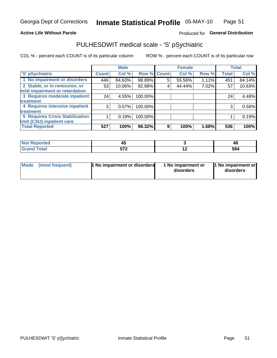#### **Active Life Without Parole**

### Produced for General Distribution

## PULHESDWIT medical scale - 'S' pSychiatric

COL % - percent each COUNT is of its particular column

|                                        |              | <b>Male</b> |         |             | <b>Female</b> |       |              | <b>Total</b> |
|----------------------------------------|--------------|-------------|---------|-------------|---------------|-------|--------------|--------------|
| 'S' pSychiatric                        | <b>Count</b> | Col %       |         | Row % Count | Col %         | Row % | <b>Total</b> | Col %        |
| 1 No impairment or disorders           | 446          | 84.63%      | 98.89%  | 5           | 55.56%        | 1.11% | 451          | 84.14%       |
| 2 Stable, or in remission, or          | 53           | 10.06%      | 92.98%  | 4           | 44.44%        | 7.02% | 57           | 10.63%       |
| mild impairment or retardation         |              |             |         |             |               |       |              |              |
| 3 Requires moderate inpatient          | 24           | 4.55%       | 100.00% |             |               |       | 24           | 4.48%        |
| treatment                              |              |             |         |             |               |       |              |              |
| 4 Requires intensive inpatient         | 3            | 0.57%       | 100.00% |             |               |       | 3            | 0.56%        |
| treatment                              |              |             |         |             |               |       |              |              |
| <b>5 Requires Crisis Stabilization</b> |              | 0.19%       | 100.00% |             |               |       |              | 0.19%        |
| Unit (CSU) inpatient care              |              |             |         |             |               |       |              |              |
| <b>Total Reported</b>                  | 527          | 100%        | 98.32%  | 9           | 100%          | 1.68% | 536          | 100%         |

| morted and   | $\mathbf{r}$<br>−~ |     | 48  |
|--------------|--------------------|-----|-----|
| <b>Total</b> | ドフク                | . . | 584 |

| Mode<br>1 No impairment or disorders<br>(most frequent) | 1 No impairment or<br>disorders | 1 No impairment or<br>disorders |
|---------------------------------------------------------|---------------------------------|---------------------------------|
|---------------------------------------------------------|---------------------------------|---------------------------------|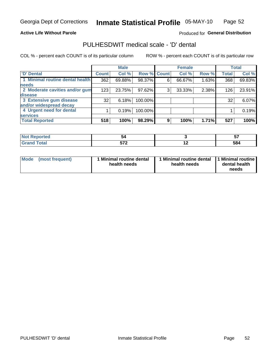#### **Active Life Without Parole**

#### Produced for General Distribution

## PULHESDWIT medical scale - 'D' dental

COL % - percent each COUNT is of its particular column

|                                 |                 | <b>Male</b> |         |             | <b>Female</b> |       |              | <b>Total</b> |
|---------------------------------|-----------------|-------------|---------|-------------|---------------|-------|--------------|--------------|
| 'D' Dental                      | <b>Count</b>    | Col %       |         | Row % Count | Col %         | Row % | <b>Total</b> | Col %        |
| 1 Minimal routine dental health | 362             | 69.88%      | 98.37%  | 6           | 66.67%        | 1.63% | 368          | 69.83%       |
| <b>needs</b>                    |                 |             |         |             |               |       |              |              |
| 2 Moderate cavities and/or gum  | 123             | 23.75%      | 97.62%  | 3           | 33.33%        | 2.38% | 126          | 23.91%       |
| disease                         |                 |             |         |             |               |       |              |              |
| 3 Extensive gum disease         | 32 <sub>1</sub> | 6.18%       | 100.00% |             |               |       | 32           | 6.07%        |
| and/or widespread decay         |                 |             |         |             |               |       |              |              |
| 4 Urgent need for dental        |                 | 0.19%       | 100.00% |             |               |       |              | 0.19%        |
| <b>services</b>                 |                 |             |         |             |               |       |              |              |
| <b>Total Reported</b>           | 518             | 100%        | 98.29%  | 9           | 100%          | 1.71% | 527          | 100%         |

| <b>orted</b><br><b>NOT REPO</b><br>. <b>.</b> | ЭV  |     | --<br>$\bullet$ . |
|-----------------------------------------------|-----|-----|-------------------|
| <b>Total</b>                                  | -70 | . . | 584               |

| <b>Mode</b> | (most frequent) | <b>Minimal routine dental</b><br>health needs | 1 Minimal routine dental<br>health needs | <b>11 Minimal routine I</b><br>dental health<br>needs |
|-------------|-----------------|-----------------------------------------------|------------------------------------------|-------------------------------------------------------|
|-------------|-----------------|-----------------------------------------------|------------------------------------------|-------------------------------------------------------|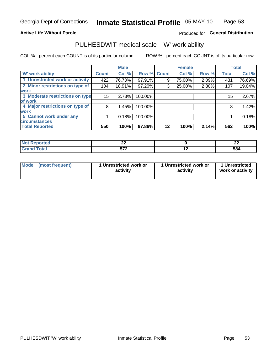#### **Active Life Without Parole**

### Produced for General Distribution

## PULHESDWIT medical scale - 'W' work ability

COL % - percent each COUNT is of its particular column

|                                 |              | <b>Male</b> |         |             | <b>Female</b> |       |              | <b>Total</b> |
|---------------------------------|--------------|-------------|---------|-------------|---------------|-------|--------------|--------------|
| <b>W' work ability</b>          | <b>Count</b> | Col %       |         | Row % Count | Col %         | Row % | <b>Total</b> | Col %        |
| 1 Unrestricted work or activity | 422          | 76.73%      | 97.91%  | 9           | 75.00%        | 2.09% | 431          | 76.69%       |
| 2 Minor restrictions on type of | 104          | 18.91%      | 97.20%  | 3           | 25.00%        | 2.80% | 107          | 19.04%       |
| <b>work</b>                     |              |             |         |             |               |       |              |              |
| 3 Moderate restrictions on type | 15           | 2.73%       | 100.00% |             |               |       | 15           | 2.67%        |
| of work                         |              |             |         |             |               |       |              |              |
| 4 Major restrictions on type of | 8            | 1.45%       | 100.00% |             |               |       | 8            | 1.42%        |
| <b>work</b>                     |              |             |         |             |               |       |              |              |
| 5 Cannot work under any         |              | 0.18%       | 100.00% |             |               |       |              | 0.18%        |
| <b>circumstances</b>            |              |             |         |             |               |       |              |              |
| <b>Total Reported</b>           | 550          | 100%        | 97.86%  | 12          | 100%          | 2.14% | 562          | 100%         |

| <b>Not Reported</b> | $\sim$<br>-- |     | $\overline{\phantom{a}}$<br>-- |
|---------------------|--------------|-----|--------------------------------|
| <b>Grand Total</b>  | -70<br>. .   | . . | 584                            |

| <b>Mode</b> | (most frequent) | 1 Unrestricted work or<br>activity | 1 Unrestricted work or<br>activity | 1 Unrestricted<br>work or activity |
|-------------|-----------------|------------------------------------|------------------------------------|------------------------------------|
|-------------|-----------------|------------------------------------|------------------------------------|------------------------------------|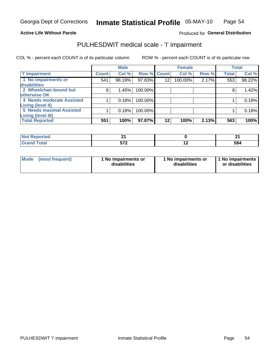#### **Active Life Without Parole**

Produced for General Distribution

## PULHESDWIT medical scale - 'I' impairment

COL % - percent each COUNT is of its particular column ROW % - percent each COUNT is of its particular row

|                           |              | <b>Male</b> |         |                 | <b>Female</b> |       |              | <b>Total</b> |
|---------------------------|--------------|-------------|---------|-----------------|---------------|-------|--------------|--------------|
| <b>T' Impairment</b>      | <b>Count</b> | Col %       |         | Row % Count     | Col %         | Row % | <b>Total</b> | Col %        |
| 1 No impairments or       | 541          | 98.19%      | 97.83%  | 12              | 100.00%       | 2.17% | 553          | 98.22%       |
| disabilities              |              |             |         |                 |               |       |              |              |
| 2 Wheelchair-bound but    | 8            | 1.45%       | 100.00% |                 |               |       |              | 1.42%        |
| otherwise OK              |              |             |         |                 |               |       |              |              |
| 4 Needs moderate Assisted |              | 0.18%       | 100.00% |                 |               |       |              | 0.18%        |
| <b>Living (level II)</b>  |              |             |         |                 |               |       |              |              |
| 5 Needs maximal Assisted  |              | 0.18%       | 100.00% |                 |               |       |              | 0.18%        |
| <b>Living (level III)</b> |              |             |         |                 |               |       |              |              |
| <b>Total Reported</b>     | 551          | 100%        | 97.87%  | 12 <sub>1</sub> | 100%          | 2.13% | 563          | 100%         |

| ำrteo       | м.         |     |     |
|-------------|------------|-----|-----|
| <b>otal</b> | -70<br>. . | . . | 584 |

| Mode | (most frequent) | 1 No impairments or<br>disabilities | 1 No impairments or<br>disabilities | 1 No impairments  <br>or disabilities |
|------|-----------------|-------------------------------------|-------------------------------------|---------------------------------------|
|------|-----------------|-------------------------------------|-------------------------------------|---------------------------------------|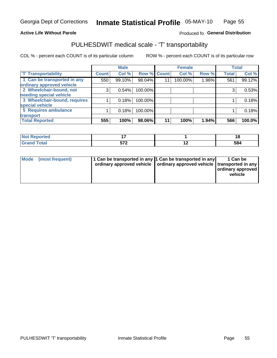#### **Active Life Without Parole**

#### Produced fo General Distribution

## PULHESDWIT medical scale - 'T' transportability

COL % - percent each COUNT is of its particular column

|                              |              | <b>Male</b> |             |    | <b>Female</b> |       |              | <b>Total</b> |
|------------------------------|--------------|-------------|-------------|----|---------------|-------|--------------|--------------|
| <b>T' Transportability</b>   | <b>Count</b> | Col %       | Row % Count |    | Col %         | Row % | <b>Total</b> | Col %        |
| 1 Can be transported in any  | 550          | 99.10%      | 98.04%      | 11 | 100.00%       | 1.96% | 561          | 99.12%       |
| ordinary approved vehicle    |              |             |             |    |               |       |              |              |
| 2 Wheelchair-bound, not      | 3            | 0.54%       | 100.00%     |    |               |       |              | 0.53%        |
| needing special vehicle      |              |             |             |    |               |       |              |              |
| 3 Wheelchair-bound, requires |              | 0.18%       | 100.00%     |    |               |       |              | 0.18%        |
| special vehicle              |              |             |             |    |               |       |              |              |
| 5 Requires ambulance         |              | 0.18%       | 100.00%     |    |               |       |              | 0.18%        |
| transport                    |              |             |             |    |               |       |              |              |
| <b>Total Reported</b>        | 555          | 100%        | 98.06%      | 11 | 100%          | 1.94% | 566          | 100.0%       |

| Reported      |             |     |     |
|---------------|-------------|-----|-----|
| <b>c</b> otal | ヒフヘ<br>JI L | . . | 584 |

| <b>Mode</b> | (most frequent) | 11 Can be transported in any 1 Can be transported in any<br>ordinary approved vehicle   ordinary approved vehicle   transported in any |  | 1 Can be<br>ordinary approved<br>vehicle |
|-------------|-----------------|----------------------------------------------------------------------------------------------------------------------------------------|--|------------------------------------------|
|-------------|-----------------|----------------------------------------------------------------------------------------------------------------------------------------|--|------------------------------------------|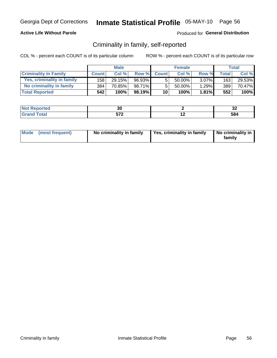#### **Active Life Without Parole**

#### Produced for General Distribution

### Criminality in family, self-reported

COL % - percent each COUNT is of its particular column

|                              |              | <b>Male</b> |        |                 | <b>Female</b> |          |       | Total  |
|------------------------------|--------------|-------------|--------|-----------------|---------------|----------|-------|--------|
| <b>Criminality In Family</b> | <b>Count</b> | Col %       | Row %  | <b>Count</b>    | Col %         | Row %    | Total | Col %  |
| Yes, criminality in family   | 158 l        | 29.15%      | 96.93% | 5               | 50.00%        | $3.07\%$ | 163   | 29.53% |
| No criminality in family     | 384          | 70.85%      | 98.71% | 5               | 50.00%        | 1.29%    | 389   | 70.47% |
| <b>Total Reported</b>        | 542          | 100%        | 98.19% | 10 <sub>1</sub> | 100%          | 1.81%    | 552   | 100%   |

| wteu -                      | w     |    | . .<br>◡▵   |
|-----------------------------|-------|----|-------------|
| $\sim$ $\sim$ $\sim$ $\sim$ | $-70$ | -- | co /<br>584 |

|  | Mode (most frequent) | No criminality in family | Yes, criminality in family | No criminality in<br>family |
|--|----------------------|--------------------------|----------------------------|-----------------------------|
|--|----------------------|--------------------------|----------------------------|-----------------------------|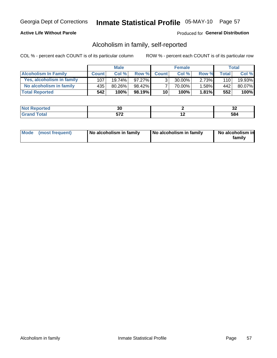#### **Active Life Without Parole**

#### Produced for General Distribution

### Alcoholism in family, self-reported

COL % - percent each COUNT is of its particular column

|                             |              | <b>Male</b> |        |                 | <b>Female</b> |          |              | Total  |
|-----------------------------|--------------|-------------|--------|-----------------|---------------|----------|--------------|--------|
| <b>Alcoholism In Family</b> | <b>Count</b> | Col%        | Row %  | <b>Count</b>    | Col %         | Row %    | <b>Total</b> | Col %  |
| Yes, alcoholism in family   | 107          | $19.74\%$   | 97.27% | 2               | 30.00%        | $2.73\%$ | 110          | 19.93% |
| No alcoholism in family     | 435          | 80.26%      | 98.42% |                 | 70.00%        | 1.58%    | 442          | 80.07% |
| <b>Total Reported</b>       | 542          | 100%        | 98.19% | 10 <sup>1</sup> | 100%          | $1.81\%$ | 552          | 100%   |

| чтео                               | uu                            |                          | …<br>◡▵ |
|------------------------------------|-------------------------------|--------------------------|---------|
| $\sim$ $\sim$ $\sim$ $\sim$ $\sim$ | $-70$<br>$\ddot{\phantom{a}}$ | $\overline{\phantom{a}}$ | --      |

|  | Mode (most frequent) | No alcoholism in family | No alcoholism in family | No alcoholism in<br>family |
|--|----------------------|-------------------------|-------------------------|----------------------------|
|--|----------------------|-------------------------|-------------------------|----------------------------|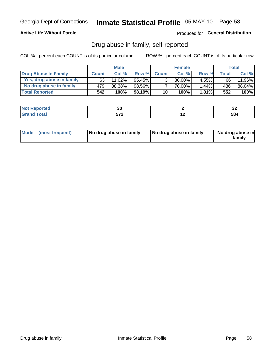#### **Active Life Without Parole**

Produced for General Distribution

### Drug abuse in family, self-reported

COL % - percent each COUNT is of its particular column

|                           |              | <b>Male</b> |           |                 | <b>Female</b> |          |              | Total  |
|---------------------------|--------------|-------------|-----------|-----------------|---------------|----------|--------------|--------|
| Drug Abuse In Family      | <b>Count</b> | Col%        | Row %     | <b>Count</b>    | Col%          | Row %    | <b>Total</b> | Col %  |
| Yes, drug abuse in family | 63           | 11.62%      | 95.45% I  | 3 <sub>1</sub>  | $30.00\%$     | $4.55\%$ | 66           | 11.96% |
| No drug abuse in family   | 479          | 88.38%      | 98.56%    |                 | 70.00%        | 1.44%    | 486          | 88.04% |
| <b>Total Reported</b>     | 542          | 100%        | $98.19\%$ | 10 <sub>1</sub> | 100%          | $1.81\%$ | 552          | 100%   |

| <b>Not Reported</b> | JU  |     | ^^<br>◡▵ |
|---------------------|-----|-----|----------|
| <b>Total</b>        | -70 | . . | ۰.       |
| Gran                |     |     | OO4      |

|  | Mode (most frequent) | No drug abuse in family | No drug abuse in family | No drug abuse in<br>family |
|--|----------------------|-------------------------|-------------------------|----------------------------|
|--|----------------------|-------------------------|-------------------------|----------------------------|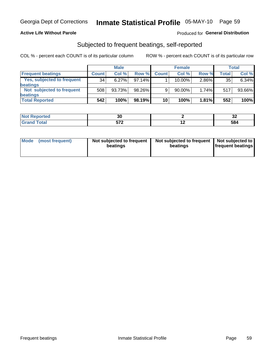#### **Active Life Without Parole**

#### Produced for General Distribution

### Subjected to frequent beatings, self-reported

COL % - percent each COUNT is of its particular column

|                                   |              | <b>Male</b> |        |              | <b>Female</b> |       |       | Total  |
|-----------------------------------|--------------|-------------|--------|--------------|---------------|-------|-------|--------|
| <b>Frequent beatings</b>          | <b>Count</b> | Col %       | Row %  | <b>Count</b> | Col %         | Row % | Total | Col %  |
| <b>Yes, subjected to frequent</b> | 34           | 6.27%       | 97.14% |              | 10.00%        | 2.86% | 35    | 6.34%  |
| <b>beatings</b>                   |              |             |        |              |               |       |       |        |
| Not subjected to frequent         | 508          | 93.73%      | 98.26% | 9            | 90.00%        | 1.74% | 517   | 93.66% |
| <b>beatings</b>                   |              |             |        |              |               |       |       |        |
| <b>Total Reported</b>             | 542          | 100%        | 98.19% | 10           | 100%          | 1.81% | 552   | 100%   |

| <b>Not Reported</b> | $\sim$<br>.JU |     | ^^<br>◡▵ |
|---------------------|---------------|-----|----------|
| <b>Total</b>        | ヒフヘ<br>JIL    | . . | 584      |

| Mode (most frequent) | Not subjected to frequent<br>beatings | Not subjected to frequent<br>beatings | Not subjected to<br><b>frequent beatings</b> |
|----------------------|---------------------------------------|---------------------------------------|----------------------------------------------|
|                      |                                       |                                       |                                              |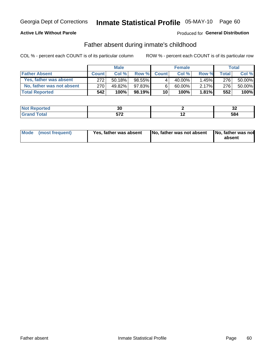#### **Active Life Without Parole**

### Produced for General Distribution

### Father absent during inmate's childhood

COL % - percent each COUNT is of its particular column

|                           |              | <b>Male</b> |           |              | <b>Female</b> |          |         | <b>Total</b> |
|---------------------------|--------------|-------------|-----------|--------------|---------------|----------|---------|--------------|
| <b>Father Absent</b>      | <b>Count</b> | Col%        | Row %     | <b>Count</b> | Col%          | Row %    | Total I | Col %        |
| Yes, father was absent    | 272          | 50.18%      | $98.55\%$ | 4            | 40.00%」       | $1.45\%$ | 276     | 50.00%       |
| No, father was not absent | 270          | 49.82%      | 97.83%    | 6            | 60.00%        | $2.17\%$ | 276     | 50.00%       |
| <b>Total Reported</b>     | 542          | 100%        | $98.19\%$ | 10           | 100%          | $1.81\%$ | 552     | 100%         |

| <b>Not Reported</b> | vu  |     | ^'<br>JŁ. |
|---------------------|-----|-----|-----------|
| <b>otal</b>         | -70 | . . | 584       |
| Gran                | ◡ ▴ |     |           |

| Mode (most frequent) |  | Yes, father was absent | No, father was not absent   No, father was not | absent |
|----------------------|--|------------------------|------------------------------------------------|--------|
|----------------------|--|------------------------|------------------------------------------------|--------|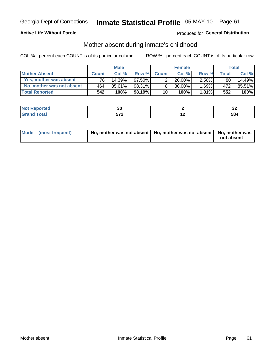#### **Active Life Without Parole**

### Produced for General Distribution

### Mother absent during inmate's childhood

COL % - percent each COUNT is of its particular column

|                           |              | <b>Male</b> |           |              | <b>Female</b> |          |         | <b>Total</b> |
|---------------------------|--------------|-------------|-----------|--------------|---------------|----------|---------|--------------|
| <b>Mother Absent</b>      | <b>Count</b> | Col%        | Row %     | <b>Count</b> | Col %         | Row %    | Total ⊧ | Col %        |
| Yes, mother was absent    | 781          | 14.39%      | $97.50\%$ | ⌒            | $20.00\%$     | $2.50\%$ | 80      | 14.49%       |
| No, mother was not absent | 464          | 85.61%      | 98.31%    | 8            | 80.00%        | 1.69%    | 472     | 85.51%       |
| <b>Total Reported</b>     | 542          | 100%        | $98.19\%$ | 10           | 100%          | 1.81%    | 552     | 100%         |

| and an additional con-<br>NO1<br>τeα | JL.                             |                          | . .<br>◡▵ |
|--------------------------------------|---------------------------------|--------------------------|-----------|
| $\sim$                               | -70<br>$\overline{\phantom{a}}$ | $\overline{\phantom{0}}$ | uu        |

| Mode (most frequent) | No, mother was not absent   No, mother was not absent   No, mother was | not absent |
|----------------------|------------------------------------------------------------------------|------------|
|                      |                                                                        |            |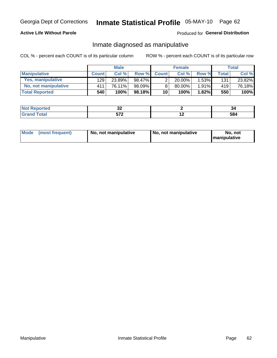#### **Active Life Without Parole**

#### Produced for General Distribution

### Inmate diagnosed as manipulative

COL % - percent each COUNT is of its particular column

|                          |              | <b>Male</b> |           |                       | <b>Female</b> |          |              | Total  |
|--------------------------|--------------|-------------|-----------|-----------------------|---------------|----------|--------------|--------|
| <b>Manipulative</b>      | <b>Count</b> | Col %       | Row %     | <b>Count</b>          | Col %         | Row %    | <b>Total</b> | Col %  |
| <b>Yes, manipulative</b> | 129 l        | 23.89%      | 98.47%    | $\mathbf{2}^{\prime}$ | $20.00\%$     | 1.53%    | 131          | 23.82% |
| No, not manipulative     | 411          | 76.11%      | 98.09%    | 8                     | 80.00%        | $1.91\%$ | 419          | 76.18% |
| <b>Total Reported</b>    | 540          | 100%        | $98.18\%$ | 10                    | 100%          | 1.82%    | 550          | 100%   |

| <b>Continued by Allen</b><br>IN OI<br>тео | ◡▵                |                          | 94  |
|-------------------------------------------|-------------------|--------------------------|-----|
| -                                         | -70<br>. <u>.</u> | $\overline{\phantom{0}}$ | 584 |

| Mode | (most frequent) | No, not manipulative | No, not manipulative | No. not<br><b>I</b> manipulative |
|------|-----------------|----------------------|----------------------|----------------------------------|
|------|-----------------|----------------------|----------------------|----------------------------------|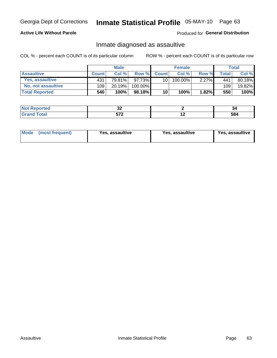# Inmate Statistical Profile 05-MAY-10 Page 63

#### **Active Life Without Parole**

Produced for General Distribution

### Inmate diagnosed as assaultive

COL % - percent each COUNT is of its particular column

|                       |              | <b>Male</b> |         |              | <b>Female</b> |          |                    | <b>Total</b> |
|-----------------------|--------------|-------------|---------|--------------|---------------|----------|--------------------|--------------|
| <b>Assaultive</b>     | <b>Count</b> | Col%        | Row %   | <b>Count</b> | Col%          | Row %    | Total <sub>1</sub> | Col %        |
| Yes, assaultive       | 431          | 79.81%      | 97.73%  | 10           | 100.00%       | $2.27\%$ | 441                | 80.18%       |
| No, not assaultive    | 109          | 20.19%      | 100.00% |              |               |          | 109                | 19.82%       |
| <b>Total Reported</b> | 540          | 100%        | 98.18%I | 10           | 100%          | $1.82\%$ | 550                | 100%         |

| ----<br><b>NO</b><br>Reported<br>. | ◡▵      |     | -94 |
|------------------------------------|---------|-----|-----|
| <b>c</b> otal                      | $F = 0$ | . . | ۰.  |
|                                    | ,,,     |     | JU  |

| <b>Mode</b><br>(most frequent) | <b>Yes, assaultive</b> | Yes, assaultive | <b>Yes, assaultive</b> |
|--------------------------------|------------------------|-----------------|------------------------|
|--------------------------------|------------------------|-----------------|------------------------|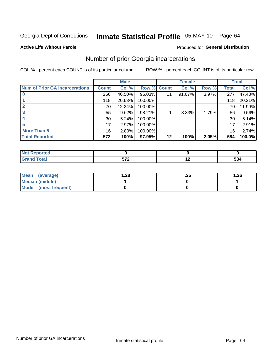# Inmate Statistical Profile 05-MAY-10 Page 64

#### **Active Life Without Parole**

#### **Produced for General Distribution**

## Number of prior Georgia incarcerations

COL % - percent each COUNT is of its particular column

|                                       |                 | <b>Male</b> |                    |         | <b>Female</b> |       |       | <b>Total</b> |
|---------------------------------------|-----------------|-------------|--------------------|---------|---------------|-------|-------|--------------|
| <b>Num of Prior GA Incarcerations</b> | <b>Count</b>    | Col %       | <b>Row % Count</b> |         | Col %         | Row % | Total | Col %        |
|                                       | 266             | 46.50%      | 96.03%             |         | 91.67%        | 3.97% | 277   | 47.43%       |
|                                       | 118             | 20.63%      | 100.00%            |         |               |       | 118   | 20.21%       |
|                                       | 70              | 12.24%      | 100.00%            |         |               |       | 70    | 11.99%       |
|                                       | 55              | 9.62%       | 98.21%             |         | 8.33%         | 1.79% | 56    | 9.59%        |
|                                       | 30 <sup>°</sup> | 5.24%       | 100.00%            |         |               |       | 30    | 5.14%        |
|                                       | 17              | 2.97%       | 100.00%            |         |               |       | 17    | 2.91%        |
| <b>More Than 5</b>                    | 16 <sub>1</sub> | 2.80%       | 100.00%            |         |               |       | 16    | 2.74%        |
| <b>Total Reported</b>                 | 572             | 100%        | 97.95%             | $12 \,$ | 100%          | 2.05% | 584   | 100.0%       |

| orted<br>m.                     |            |     |
|---------------------------------|------------|-----|
| <b>otal</b><br>$\mathbf{v}$ and | ---<br>- - | 584 |

| Mean (average)       | 28. ا | ن ے. | 1.26 |
|----------------------|-------|------|------|
| Median (middle)      |       |      |      |
| Mode (most frequent) |       |      |      |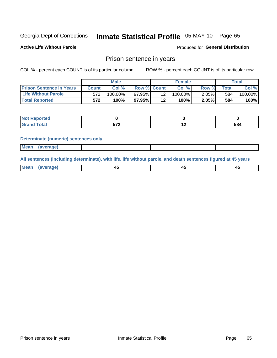## Inmate Statistical Profile 05-MAY-10 Page 65

**Active Life Without Parole** 

### **Produced for General Distribution**

### Prison sentence in years

COL % - percent each COUNT is of its particular column

ROW % - percent each COUNT is of its particular row

|                                 |              | <b>Male</b> |                    |         | <b>Female</b> |       |       | Total   |
|---------------------------------|--------------|-------------|--------------------|---------|---------------|-------|-------|---------|
| <b>Prison Sentence In Years</b> | <b>Count</b> | Col %       | <b>Row % Count</b> |         | Col %         | Row % | Total | Col %   |
| <b>Life Without Parole</b>      | 572          | $100.00\%$  | 97.95% <b>I</b>    |         | $100.00\%$    | 2.05% | 584   | 100.00% |
| <b>Total Reported</b>           | 572          | 100%        | $97.95\%$          | $12 \,$ | 100%          | 2.05% | 584   | 100%    |

| Not Reported |     |     |     |
|--------------|-----|-----|-----|
|              | --^ | . . | 584 |

#### **Determinate (numeric) sentences only**

| <b>Mean</b><br><i>(average)</i> |  |
|---------------------------------|--|
|---------------------------------|--|

All sentences (including determinate), with life, life without parole, and death sentences figured at 45 years

| Mea<br>ЯМА.<br>1119811 | _ |  |
|------------------------|---|--|
|                        |   |  |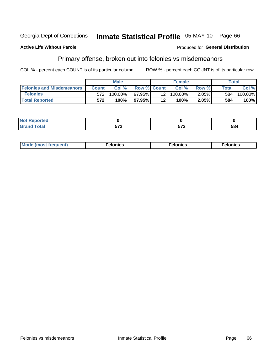#### Georgia Dept of Corrections Inmate Statistical Profile 05-MAY-10 Page 66

#### **Active Life Without Parole**

#### **Produced for General Distribution**

## Primary offense, broken out into felonies vs misdemeanors

COL % - percent each COUNT is of its particular column

|                                  |              | <b>Male</b> |                    |                 | <b>Female</b> |       |              | Total      |
|----------------------------------|--------------|-------------|--------------------|-----------------|---------------|-------|--------------|------------|
| <b>Felonies and Misdemeanors</b> | <b>Count</b> | Col%        | <b>Row % Count</b> |                 | Col%          | Row % | <b>Total</b> | Col %      |
| <b>Felonies</b>                  | 572          | 100.00%     | 97.95%             | 12 <sub>1</sub> | 100.00%       | 2.05% | 584          | $100.00\%$ |
| <b>Total Reported</b>            | 572          | $100\%$     | 97.95%             | 12'             | 100%          | 2.05% | 584          | 100%       |

| Not  <br><b>Reported</b>   |         |             |     |
|----------------------------|---------|-------------|-----|
| <b>Total</b><br>Grand<br>u | $- - -$ | -70<br>JI L | 584 |

| <b>Mode</b><br>frequent)<br>nies<br>≧ (most tr.<br>. | onies<br>. | lonies<br>енл<br>____ |
|------------------------------------------------------|------------|-----------------------|
|------------------------------------------------------|------------|-----------------------|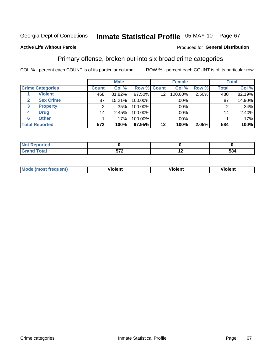## Inmate Statistical Profile 05-MAY-10 Page 67

#### **Active Life Without Parole**

#### Produced for General Distribution

## Primary offense, broken out into six broad crime categories

COL % - percent each COUNT is of its particular column

|                         | <b>Male</b>     |         |                    | <b>Female</b> |         |       | <b>Total</b>    |        |
|-------------------------|-----------------|---------|--------------------|---------------|---------|-------|-----------------|--------|
| <b>Crime Categories</b> | <b>Count</b>    | Col %   | <b>Row % Count</b> |               | Col %   | Row % | <b>Total</b>    | Col %  |
| <b>Violent</b>          | 468'            | 81.82%  | 97.50%             | 12            | 100.00% | 2.50% | 480             | 82.19% |
| <b>Sex Crime</b>        | 87              | 15.21%  | 100.00%            |               | .00%    |       | 87              | 14.90% |
| 3<br><b>Property</b>    | 2               | .35%    | 100.00%            |               | .00%    |       |                 | .34%   |
| <b>Drug</b><br>4        | 14 <sub>1</sub> | 2.45%   | 100.00%            |               | .00%    |       | 14 <sub>1</sub> | 2.40%  |
| <b>Other</b><br>6       |                 | $.17\%$ | 100.00%            |               | .00%    |       |                 | .17%   |
| <b>Total Reported</b>   | 572             | 100%    | 97.95%             | 12            | 100%    | 2.05% | 584             | 100%   |

| <b>Not Reported</b> |            |     |     |
|---------------------|------------|-----|-----|
| <b>Total</b>        | -70<br>. . | . . | 584 |

| М | ,,, | - -- -<br>וחו | m |
|---|-----|---------------|---|
|   |     |               |   |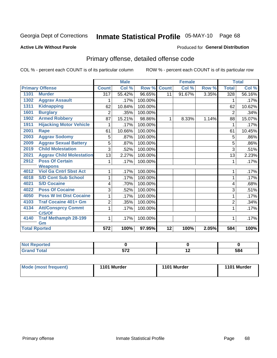## Inmate Statistical Profile 05-MAY-10 Page 68

#### **Active Life Without Parole**

#### **Produced for General Distribution**

## Primary offense, detailed offense code

COL % - percent each COUNT is of its particular column

|                      |                                     |                | <b>Male</b> |         |              | <b>Female</b> |       |                | <b>Total</b> |
|----------------------|-------------------------------------|----------------|-------------|---------|--------------|---------------|-------|----------------|--------------|
|                      | <b>Primary Offense</b>              | <b>Count</b>   | Col %       | Row %   | <b>Count</b> | Col %         | Row % | <b>Total</b>   | Col %        |
| 1101                 | <b>Murder</b>                       | 317            | 55.42%      | 96.65%  | 11           | 91.67%        | 3.35% | 328            | 56.16%       |
| 1302                 | <b>Aggrav Assault</b>               |                | .17%        | 100.00% |              |               |       | 1              | .17%         |
| 1311                 | <b>Kidnapping</b>                   | 62             | 10.84%      | 100.00% |              |               |       | 62             | 10.62%       |
| 1601                 | <b>Burglary</b>                     | 2              | .35%        | 100.00% |              |               |       | $\overline{2}$ | .34%         |
| 1902                 | <b>Armed Robbery</b>                | 87             | 15.21%      | 98.86%  | 1            | 8.33%         | 1.14% | 88             | 15.07%       |
| 1911                 | <b>Hijacking Motor Vehicle</b>      |                | .17%        | 100.00% |              |               |       | 1              | .17%         |
| 2001                 | <b>Rape</b>                         | 61             | 10.66%      | 100.00% |              |               |       | 61             | 10.45%       |
| 2003                 | <b>Aggrav Sodomy</b>                | 5              | .87%        | 100.00% |              |               |       | 5              | .86%         |
| 2009                 | <b>Aggrav Sexual Battery</b>        | 5              | .87%        | 100.00% |              |               |       | 5              | .86%         |
| 2019                 | <b>Child Molestation</b>            | 3              | .52%        | 100.00% |              |               |       | 3              | .51%         |
| 2021                 | <b>Aggrav Child Molestation</b>     | 13             | 2.27%       | 100.00% |              |               |       | 13             | 2.23%        |
| 2912                 | <b>Poss Of Certain</b>              |                | .17%        | 100.00% |              |               |       | 1              | .17%         |
|                      | <b>Weapons</b>                      |                |             |         |              |               |       |                |              |
| 4012                 | <b>Viol Ga Cntrl Sbst Act</b>       |                | .17%        | 100.00% |              |               |       | 1              | .17%         |
| 4018                 | <b>S/D Cont Sub School</b>          |                | .17%        | 100.00% |              |               |       | 1              | .17%         |
| 4021                 | <b>S/D Cocaine</b>                  | 4              | .70%        | 100.00% |              |               |       | 4              | .68%         |
| 4022                 | <b>Poss Of Cocaine</b>              | 3              | .52%        | 100.00% |              |               |       | 3              | .51%         |
| 4050                 | <b>Poss W Int Dist Cocaine</b>      |                | .17%        | 100.00% |              |               |       | 1              | .17%         |
| 4103                 | <b>Traf Cocaine 401+ Gm</b>         | $\overline{2}$ | .35%        | 100.00% |              |               |       | $\overline{2}$ | .34%         |
| 4134                 | <b>Att/Consprcy Commt</b><br>C/S/Of | 1              | .17%        | 100.00% |              |               |       | 1              | .17%         |
| 4140                 | <b>Traf Methamph 28-199</b><br>Gm   | 1              | .17%        | 100.00% |              |               |       | 1              | .17%         |
| <b>Total Rported</b> |                                     | 572            | 100%        | 97.95%  | 12           | 100%          | 2.05% | 584            | 100%         |

| <b>eported</b><br>N |                   |     |     |
|---------------------|-------------------|-----|-----|
| <b>Total</b>        | ヒフヘ<br><b>VIL</b> | . . | 584 |

| Mode (most frequent) | 1101 Murder | 1101 Murder | 1101 Murder |
|----------------------|-------------|-------------|-------------|
|                      |             |             |             |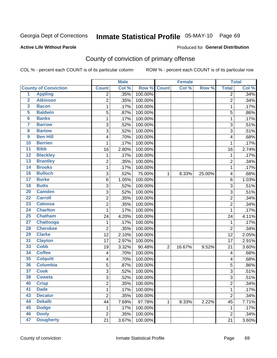## Inmate Statistical Profile 05-MAY-10 Page 69

#### **Active Life Without Parole**

#### Produced for General Distribution

## County of conviction of primary offense

COL % - percent each COUNT is of its particular column

|                         |                             |                  | <b>Male</b> |         | <b>Female</b>  |        |        | <b>Total</b>   |       |
|-------------------------|-----------------------------|------------------|-------------|---------|----------------|--------|--------|----------------|-------|
|                         | <b>County of Conviction</b> | <b>Count</b>     | Col %       | Row %   | <b>Count</b>   | Col %  | Row %  | <b>Total</b>   | Col % |
| 1                       | <b>Appling</b>              | 2                | .35%        | 100.00% |                |        |        | 2              | .34%  |
| $\overline{2}$          | <b>Atkinson</b>             | $\overline{2}$   | .35%        | 100.00% |                |        |        | $\overline{2}$ | .34%  |
| $\overline{\mathbf{3}}$ | <b>Bacon</b>                | 1                | .17%        | 100.00% |                |        |        | $\mathbf 1$    | .17%  |
| 5                       | <b>Baldwin</b>              | $\sqrt{5}$       | .87%        | 100.00% |                |        |        | 5              | .86%  |
| $6\phantom{a}$          | <b>Banks</b>                | 1                | .17%        | 100.00% |                |        |        | 1              | .17%  |
| 7                       | <b>Barrow</b>               | $\sqrt{3}$       | .52%        | 100.00% |                |        |        | $\overline{3}$ | .51%  |
| 8                       | <b>Bartow</b>               | 3                | .52%        | 100.00% |                |        |        | 3              | .51%  |
| 9                       | <b>Ben Hill</b>             | 4                | .70%        | 100.00% |                |        |        | 4              | .68%  |
| 10                      | <b>Berrien</b>              | 1                | .17%        | 100.00% |                |        |        | 1              | .17%  |
| $\overline{11}$         | <b>Bibb</b>                 | 16               | 2.80%       | 100.00% |                |        |        | 16             | 2.74% |
| 12                      | <b>Bleckley</b>             | 1                | .17%        | 100.00% |                |        |        | $\mathbf 1$    | .17%  |
| 13                      | <b>Brantley</b>             | $\overline{2}$   | .35%        | 100.00% |                |        |        | $\overline{2}$ | .34%  |
| $\overline{14}$         | <b>Brooks</b>               | 1                | .17%        | 100.00% |                |        |        | 1              | .17%  |
| 16                      | <b>Bulloch</b>              | $\sqrt{3}$       | .52%        | 75.00%  | 1              | 8.33%  | 25.00% | 4              | .68%  |
| $\overline{17}$         | <b>Burke</b>                | 6                | 1.05%       | 100.00% |                |        |        | 6              | 1.03% |
| 18                      | <b>Butts</b>                | 3                | .52%        | 100.00% |                |        |        | 3              | .51%  |
| 20                      | <b>Camden</b>               | 3                | .52%        | 100.00% |                |        |        | 3              | .51%  |
| $\overline{22}$         | <b>Carroll</b>              | $\boldsymbol{2}$ | .35%        | 100.00% |                |        |        | $\overline{c}$ | .34%  |
| $\overline{23}$         | <b>Catoosa</b>              | 2                | .35%        | 100.00% |                |        |        | $\overline{c}$ | .34%  |
| 24                      | <b>Charlton</b>             | 1                | .17%        | 100.00% |                |        |        | $\mathbf{1}$   | .17%  |
| 25                      | <b>Chatham</b>              | 24               | 4.20%       | 100.00% |                |        |        | 24             | 4.11% |
| $\overline{27}$         | <b>Chattooga</b>            | 1                | .17%        | 100.00% |                |        |        | $\mathbf{1}$   | .17%  |
| 28                      | <b>Cherokee</b>             | $\overline{c}$   | .35%        | 100.00% |                |        |        | $\overline{2}$ | .34%  |
| 29                      | <b>Clarke</b>               | 12               | 2.10%       | 100.00% |                |        |        | 12             | 2.05% |
| 31                      | <b>Clayton</b>              | 17               | 2.97%       | 100.00% |                |        |        | 17             | 2.91% |
| 33                      | <b>Cobb</b>                 | 19               | 3.32%       | 90.48%  | $\overline{2}$ | 16.67% | 9.52%  | 21             | 3.60% |
| 34                      | <b>Coffee</b>               | 4                | .70%        | 100.00% |                |        |        | 4              | .68%  |
| 35                      | <b>Colquitt</b>             | 4                | .70%        | 100.00% |                |        |        | 4              | .68%  |
| 36                      | <b>Columbia</b>             | 5                | .87%        | 100.00% |                |        |        | 5              | .86%  |
| $\overline{37}$         | <b>Cook</b>                 | $\sqrt{3}$       | .52%        | 100.00% |                |        |        | 3              | .51%  |
| 38                      | <b>Coweta</b>               | 3                | .52%        | 100.00% |                |        |        | 3              | .51%  |
| 40                      | <b>Crisp</b>                | $\overline{c}$   | .35%        | 100.00% |                |        |        | 2              | .34%  |
| 41                      | <b>Dade</b>                 | 1                | .17%        | 100.00% |                |        |        | $\mathbf{1}$   | .17%  |
| 43                      | <b>Decatur</b>              | $\overline{2}$   | .35%        | 100.00% |                |        |        | $\overline{2}$ | .34%  |
| 44                      | <b>Dekalb</b>               | 44               | 7.69%       | 97.78%  | 1              | 8.33%  | 2.22%  | 45             | 7.71% |
| 45                      | <b>Dodge</b>                | 1                | .17%        | 100.00% |                |        |        | 1              | .17%  |
| 46                      | <b>Dooly</b>                | $\boldsymbol{2}$ | .35%        | 100.00% |                |        |        | $\overline{2}$ | .34%  |
| 47                      | <b>Dougherty</b>            | 21               | 3.67%       | 100.00% |                |        |        | 21             | 3.60% |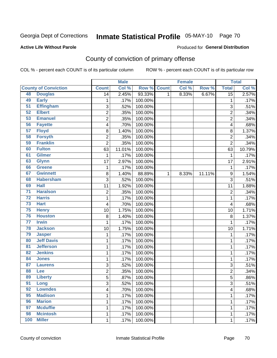## Inmate Statistical Profile 05-MAY-10 Page 70

#### **Active Life Without Parole**

#### Produced for General Distribution

## County of conviction of primary offense

COL % - percent each COUNT is of its particular column

|                 |                             |                 | <b>Male</b> |         |              | <b>Female</b> |        |                 | <b>Total</b> |
|-----------------|-----------------------------|-----------------|-------------|---------|--------------|---------------|--------|-----------------|--------------|
|                 | <b>County of Conviction</b> | <b>Count</b>    | Col %       | Row %   | <b>Count</b> | Col %         | Row %  | <b>Total</b>    | Col %        |
| 48              | <b>Douglas</b>              | $\overline{14}$ | 2.45%       | 93.33%  | 1            | 8.33%         | 6.67%  | $\overline{15}$ | 2.57%        |
| 49              | <b>Early</b>                | 1               | .17%        | 100.00% |              |               |        | 1               | .17%         |
| $\overline{51}$ | <b>Effingham</b>            | 3               | .52%        | 100.00% |              |               |        | 3               | .51%         |
| 52              | <b>Elbert</b>               | $\overline{2}$  | .35%        | 100.00% |              |               |        | $\overline{2}$  | .34%         |
| 53              | <b>Emanuel</b>              | 2               | .35%        | 100.00% |              |               |        | $\overline{c}$  | .34%         |
| 56              | <b>Fayette</b>              | 4               | .70%        | 100.00% |              |               |        | 4               | .68%         |
| 57              | <b>Floyd</b>                | 8               | 1.40%       | 100.00% |              |               |        | 8               | 1.37%        |
| 58              | <b>Forsyth</b>              | $\overline{2}$  | .35%        | 100.00% |              |               |        | $\overline{2}$  | .34%         |
| 59              | <b>Franklin</b>             | $\overline{c}$  | .35%        | 100.00% |              |               |        | $\overline{2}$  | .34%         |
| 60              | <b>Fulton</b>               | 63              | 11.01%      | 100.00% |              |               |        | 63              | 10.79%       |
| 61              | <b>Gilmer</b>               | 1               | .17%        | 100.00% |              |               |        | $\mathbf 1$     | .17%         |
| 63              | <b>Glynn</b>                | 17              | 2.97%       | 100.00% |              |               |        | 17              | 2.91%        |
| 66              | <b>Greene</b>               | 1               | .17%        | 100.00% |              |               |        | $\mathbf 1$     | .17%         |
| 67              | <b>Gwinnett</b>             | $\,8\,$         | 1.40%       | 88.89%  | $\mathbf{1}$ | 8.33%         | 11.11% | 9               | 1.54%        |
| 68              | <b>Habersham</b>            | $\overline{3}$  | .52%        | 100.00% |              |               |        | 3               | .51%         |
| 69              | <b>Hall</b>                 | 11              | 1.92%       | 100.00% |              |               |        | 11              | 1.88%        |
| $\overline{71}$ | <b>Haralson</b>             | 2               | .35%        | 100.00% |              |               |        | $\overline{2}$  | .34%         |
| $\overline{72}$ | <b>Harris</b>               | 1               | .17%        | 100.00% |              |               |        | 1               | .17%         |
| 73              | <b>Hart</b>                 | 4               | .70%        | 100.00% |              |               |        | 4               | .68%         |
| 75              | <b>Henry</b>                | 10              | 1.75%       | 100.00% |              |               |        | 10              | 1.71%        |
| 76              | <b>Houston</b>              | 8               | 1.40%       | 100.00% |              |               |        | 8               | 1.37%        |
| $\overline{77}$ | <b>Irwin</b>                | 1               | .17%        | 100.00% |              |               |        | $\mathbf{1}$    | .17%         |
| 78              | <b>Jackson</b>              | 10              | 1.75%       | 100.00% |              |               |        | 10              | 1.71%        |
| 79              | <b>Jasper</b>               | 1               | .17%        | 100.00% |              |               |        | 1               | .17%         |
| 80              | <b>Jeff Davis</b>           | 1               | .17%        | 100.00% |              |               |        | 1               | .17%         |
| $\overline{81}$ | <b>Jefferson</b>            | 1               | .17%        | 100.00% |              |               |        | 1               | .17%         |
| 82              | <b>Jenkins</b>              | 1               | .17%        | 100.00% |              |               |        | 1               | .17%         |
| 84              | <b>Jones</b>                | 1               | .17%        | 100.00% |              |               |        | 1               | .17%         |
| 87              | <b>Laurens</b>              | 3               | .52%        | 100.00% |              |               |        | 3               | .51%         |
| 88              | Lee                         | $\overline{2}$  | .35%        | 100.00% |              |               |        | $\overline{2}$  | .34%         |
| 89              | <b>Liberty</b>              | 5               | .87%        | 100.00% |              |               |        | 5               | .86%         |
| 91              | Long                        | 3               | .52%        | 100.00% |              |               |        | 3               | .51%         |
| 92              | <b>Lowndes</b>              | 4               | .70%        | 100.00% |              |               |        | 4               | .68%         |
| 95              | <b>Madison</b>              | $\mathbf 1$     | .17%        | 100.00% |              |               |        | $\mathbf 1$     | .17%         |
| 96              | <b>Marion</b>               | 1               | .17%        | 100.00% |              |               |        | 1               | .17%         |
| 97              | <b>Mcduffie</b>             | 1               | .17%        | 100.00% |              |               |        | 1               | .17%         |
| 98              | <b>Mcintosh</b>             | 1               | .17%        | 100.00% |              |               |        | 1               | .17%         |
| 100             | <b>Miller</b>               | $\mathbf 1$     | .17%        | 100.00% |              |               |        | 1               | .17%         |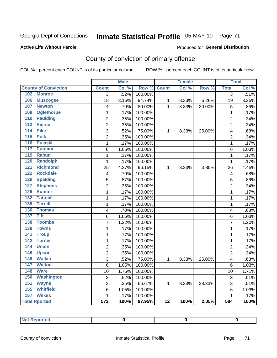## Inmate Statistical Profile 05-MAY-10 Page 71

#### **Active Life Without Parole**

#### Produced for General Distribution

## County of conviction of primary offense

COL % - percent each COUNT is of its particular column

|                                     |                         | <b>Male</b> |                  |                 | <b>Female</b> |        |                         | <b>Total</b> |
|-------------------------------------|-------------------------|-------------|------------------|-----------------|---------------|--------|-------------------------|--------------|
| <b>County of Conviction</b>         | <b>Count</b>            | Col %       | Row <sup>%</sup> | <b>Count</b>    | Col %         | Row %  | <b>Total</b>            | Col %        |
| 102<br><b>Monroe</b>                | $\overline{3}$          | .52%        | 100.00%          |                 |               |        | $\overline{3}$          | .51%         |
| 106<br><b>Muscogee</b>              | $\overline{18}$         | 3.15%       | 94.74%           | 1               | 8.33%         | 5.26%  | 19                      | 3.25%        |
| 107<br><b>Newton</b>                | 4                       | .70%        | 80.00%           | $\mathbf{1}$    | 8.33%         | 20.00% | 5                       | .86%         |
| <b>Oglethorpe</b><br>109            | 1                       | .17%        | 100.00%          |                 |               |        | $\mathbf 1$             | .17%         |
| 110<br><b>Paulding</b>              | $\overline{2}$          | .35%        | 100.00%          |                 |               |        | $\overline{c}$          | .34%         |
| 113<br><b>Pierce</b>                | $\overline{2}$          | .35%        | 100.00%          |                 |               |        | $\overline{2}$          | .34%         |
| <b>Pike</b><br>114                  | $\overline{3}$          | .52%        | 75.00%           | 1               | 8.33%         | 25.00% | 4                       | .68%         |
| <b>Polk</b><br>115                  | $\overline{2}$          | .35%        | 100.00%          |                 |               |        | $\overline{2}$          | .34%         |
| 116<br><b>Pulaski</b>               | $\mathbf{1}$            | .17%        | 100.00%          |                 |               |        | $\mathbf{1}$            | .17%         |
| 117<br><b>Putnam</b>                | 6                       | 1.05%       | 100.00%          |                 |               |        | 6                       | 1.03%        |
| 119<br><b>Rabun</b>                 | $\mathbf{1}$            | .17%        | 100.00%          |                 |               |        | $\mathbf{1}$            | .17%         |
| 120<br><b>Randolph</b>              | $\mathbf{1}$            | .17%        | 100.00%          |                 |               |        | $\mathbf{1}$            | .17%         |
| 121<br><b>Richmond</b>              | 25                      | 4.37%       | 96.15%           | $\mathbf{1}$    | 8.33%         | 3.85%  | 26                      | 4.45%        |
| <b>Rockdale</b><br>122              | $\overline{\mathbf{4}}$ | .70%        | 100.00%          |                 |               |        | $\overline{\mathbf{4}}$ | .68%         |
| 126<br><b>Spalding</b>              | 5                       | .87%        | 100.00%          |                 |               |        | 5                       | .86%         |
| <b>Stephens</b><br>127              | $\overline{2}$          | .35%        | 100.00%          |                 |               |        | $\overline{2}$          | .34%         |
| 129<br><b>Sumter</b>                | 1                       | .17%        | 100.00%          |                 |               |        | 1                       | .17%         |
| <b>Tattnall</b><br>$\overline{132}$ | 1                       | .17%        | 100.00%          |                 |               |        | $\mathbf 1$             | .17%         |
| <b>Terrell</b><br>135               | 1                       | .17%        | 100.00%          |                 |               |        | 1                       | .17%         |
| 136<br><b>Thomas</b>                | 4                       | .70%        | 100.00%          |                 |               |        | 4                       | .68%         |
| <b>Tift</b><br>$\overline{137}$     | 6                       | 1.05%       | 100.00%          |                 |               |        | 6                       | 1.03%        |
| <b>Toombs</b><br>138                | 7                       | 1.22%       | 100.00%          |                 |               |        | 7                       | 1.20%        |
| <b>Towns</b><br>139                 | 1                       | .17%        | 100.00%          |                 |               |        | $\mathbf 1$             | .17%         |
| <b>Troup</b><br>141                 | $\overline{1}$          | .17%        | 100.00%          |                 |               |        | $\mathbf{1}$            | .17%         |
| 142<br><b>Turner</b>                | $\mathbf{1}$            | .17%        | 100.00%          |                 |               |        | $\mathbf{1}$            | .17%         |
| <b>Union</b><br>144                 | $\overline{2}$          | .35%        | 100.00%          |                 |               |        | $\overline{2}$          | .34%         |
| 145<br><b>Upson</b>                 | $\overline{2}$          | .35%        | 100.00%          |                 |               |        | $\overline{2}$          | .34%         |
| <b>Walker</b><br>146                | 3                       | .52%        | 75.00%           | $\mathbf{1}$    | 8.33%         | 25.00% | 4                       | .68%         |
| <b>Walton</b><br>147                | $6\phantom{1}6$         | 1.05%       | 100.00%          |                 |               |        | 6                       | 1.03%        |
| 148<br><b>Ware</b>                  | $\overline{10}$         | 1.75%       | 100.00%          |                 |               |        | 10                      | 1.71%        |
| 150<br><b>Washington</b>            | 3                       | .52%        | 100.00%          |                 |               |        | 3                       | .51%         |
| 151<br><b>Wayne</b>                 | $\overline{2}$          | .35%        | 66.67%           | 1               | 8.33%         | 33.33% | 3                       | .51%         |
| 155<br><b>Whitfield</b>             | 6                       | 1.05%       | 100.00%          |                 |               |        | 6                       | 1.03%        |
| 157<br><b>Wilkes</b>                | $\mathbf{1}$            | .17%        | 100.00%          |                 |               |        | $\mathbf 1$             | .17%         |
| <b>Total Rported</b>                | $\overline{572}$        | 100%        | 97.95%           | $\overline{12}$ | 100%          | 2.05%  | 584                     | 100%         |

| الأستراك المتعارض<br>orren<br>. .<br>vportoa i<br> |  |  |
|----------------------------------------------------|--|--|
|                                                    |  |  |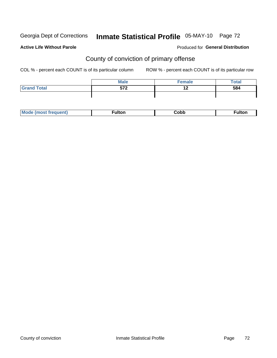## Inmate Statistical Profile 05-MAY-10 Page 72

#### **Active Life Without Parole**

#### **Produced for General Distribution**

## County of conviction of primary offense

COL % - percent each COUNT is of its particular column

|                    | <b>Male</b> | $E$ emale | <b>Total</b> |
|--------------------|-------------|-----------|--------------|
| <b>Grand Total</b> | 572         |           | 584          |
|                    |             |           |              |

| Mc | ----<br>untoi | ;obb<br>- - - - | د م ۱۰ |
|----|---------------|-----------------|--------|
|----|---------------|-----------------|--------|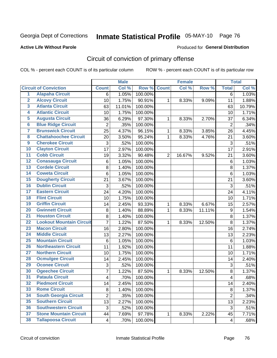Georgia Dept of Corrections

## Inmate Statistical Profile 05-MAY-10 Page 76

#### **Active Life Without Parole**

#### Produced for General Distribution

### Circuit of conviction of primary offense

COL % - percent each COUNT is of its particular column

|                         |                                 |                         | <b>Male</b> |         |                | <b>Female</b> |        |                         | <b>Total</b> |
|-------------------------|---------------------------------|-------------------------|-------------|---------|----------------|---------------|--------|-------------------------|--------------|
|                         | <b>Circuit of Conviction</b>    | <b>Count</b>            | Col %       | Row %   | <b>Count</b>   | Col %         | Row %  | <b>Total</b>            | Col %        |
| 1                       | <b>Alapaha Circuit</b>          | 6                       | 1.05%       | 100.00% |                |               |        | $\overline{6}$          | 1.03%        |
| $\overline{2}$          | <b>Alcovy Circuit</b>           | 10                      | 1.75%       | 90.91%  | 1              | 8.33%         | 9.09%  | 11                      | 1.88%        |
| $\overline{\mathbf{3}}$ | <b>Atlanta Circuit</b>          | 63                      | 11.01%      | 100.00% |                |               |        | 63                      | 10.79%       |
| 4                       | <b>Atlantic Circuit</b>         | 10                      | 1.75%       | 100.00% |                |               |        | 10                      | 1.71%        |
| 5                       | <b>Augusta Circuit</b>          | 36                      | 6.29%       | 97.30%  | $\mathbf{1}$   | 8.33%         | 2.70%  | 37                      | 6.34%        |
| $\overline{6}$          | <b>Blue Ridge Circuit</b>       | $\overline{2}$          | .35%        | 100.00% |                |               |        | $\overline{2}$          | .34%         |
| $\overline{\mathbf{7}}$ | <b>Brunswick Circuit</b>        | 25                      | 4.37%       | 96.15%  | 1              | 8.33%         | 3.85%  | 26                      | 4.45%        |
| 8                       | <b>Chattahoochee Circuit</b>    | 20                      | 3.50%       | 95.24%  | 1              | 8.33%         | 4.76%  | 21                      | 3.60%        |
| $\overline{9}$          | <b>Cherokee Circuit</b>         | 3                       | .52%        | 100.00% |                |               |        | 3                       | .51%         |
| 10                      | <b>Clayton Circuit</b>          | 17                      | 2.97%       | 100.00% |                |               |        | 17                      | 2.91%        |
| $\overline{11}$         | <b>Cobb Circuit</b>             | 19                      | 3.32%       | 90.48%  | $\overline{2}$ | 16.67%        | 9.52%  | 21                      | 3.60%        |
| $\overline{12}$         | <b>Conasauga Circuit</b>        | 6                       | 1.05%       | 100.00% |                |               |        | $\,6$                   | 1.03%        |
| 13                      | <b>Cordele Circuit</b>          | 8                       | 1.40%       | 100.00% |                |               |        | 8                       | 1.37%        |
| 14                      | <b>Coweta Circuit</b>           | $\,6$                   | 1.05%       | 100.00% |                |               |        | $\,6$                   | 1.03%        |
| 15                      | <b>Dougherty Circuit</b>        | 21                      | 3.67%       | 100.00% |                |               |        | 21                      | 3.60%        |
| 16                      | <b>Dublin Circuit</b>           | 3                       | .52%        | 100.00% |                |               |        | 3                       | .51%         |
| 17                      | <b>Eastern Circuit</b>          | 24                      | 4.20%       | 100.00% |                |               |        | 24                      | 4.11%        |
| 18                      | <b>Flint Circuit</b>            | 10                      | 1.75%       | 100.00% |                |               |        | 10                      | 1.71%        |
| 19                      | <b>Griffin Circuit</b>          | 14                      | 2.45%       | 93.33%  | 1              | 8.33%         | 6.67%  | 15                      | 2.57%        |
| 20                      | <b>Gwinnett Circuit</b>         | 8                       | 1.40%       | 88.89%  | 1              | 8.33%         | 11.11% | $\boldsymbol{9}$        | 1.54%        |
| $\overline{21}$         | <b>Houston Circuit</b>          | 8                       | 1.40%       | 100.00% |                |               |        | 8                       | 1.37%        |
| $\overline{22}$         | <b>Lookout Mountain Circuit</b> | $\overline{7}$          | 1.22%       | 87.50%  | $\mathbf{1}$   | 8.33%         | 12.50% | 8                       | 1.37%        |
| 23                      | <b>Macon Circuit</b>            | 16                      | 2.80%       | 100.00% |                |               |        | 16                      | 2.74%        |
| $\overline{24}$         | <b>Middle Circuit</b>           | 13                      | 2.27%       | 100.00% |                |               |        | 13                      | 2.23%        |
| 25                      | <b>Mountain Circuit</b>         | 6                       | 1.05%       | 100.00% |                |               |        | 6                       | 1.03%        |
| 26                      | <b>Northeastern Circuit</b>     | 11                      | 1.92%       | 100.00% |                |               |        | 11                      | 1.88%        |
| $\overline{27}$         | <b>Northern Circuit</b>         | 10                      | 1.75%       | 100.00% |                |               |        | 10                      | 1.71%        |
| 28                      | <b>Ocmulgee Circuit</b>         | 14                      | 2.45%       | 100.00% |                |               |        | 14                      | 2.40%        |
| 29                      | <b>Oconee Circuit</b>           | 3                       | .52%        | 100.00% |                |               |        | 3                       | .51%         |
| 30                      | <b>Ogeechee Circuit</b>         | $\overline{7}$          | 1.22%       | 87.50%  | 1              | 8.33%         | 12.50% | 8                       | 1.37%        |
| $\overline{31}$         | <b>Pataula Circuit</b>          | $\overline{\mathbf{4}}$ | .70%        | 100.00% |                |               |        | $\overline{\mathbf{4}}$ | .68%         |
| 32                      | <b>Piedmont Circuit</b>         | 14                      | 2.45%       | 100.00% |                |               |        | 14                      | 2.40%        |
| 33                      | <b>Rome Circuit</b>             | 8                       | 1.40%       | 100.00% |                |               |        | 8                       | 1.37%        |
| 34                      | <b>South Georgia Circuit</b>    | $\overline{2}$          | .35%        | 100.00% |                |               |        | $\overline{2}$          | .34%         |
| 35                      | <b>Southern Circuit</b>         | 13                      | 2.27%       | 100.00% |                |               |        | 13                      | 2.23%        |
| 36                      | <b>Southwestern Circuit</b>     | 3                       | .52%        | 100.00% |                |               |        | $\sqrt{3}$              | .51%         |
| 37                      | <b>Stone Mountain Circuit</b>   | 44                      | 7.69%       | 97.78%  | 1              | 8.33%         | 2.22%  | 45                      | 7.71%        |
| 38                      | <b>Tallapoosa Circuit</b>       | $\overline{4}$          | .70%        | 100.00% |                |               |        | $\overline{\mathbf{4}}$ | .68%         |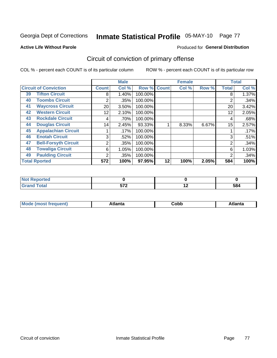Georgia Dept of Corrections

## Inmate Statistical Profile 05-MAY-10 Page 77

#### **Active Life Without Parole**

#### **Produced for General Distribution**

### Circuit of conviction of primary offense

COL % - percent each COUNT is of its particular column

|    |                              |                | <b>Male</b> |         |              | <b>Female</b> |       |              | <b>Total</b> |
|----|------------------------------|----------------|-------------|---------|--------------|---------------|-------|--------------|--------------|
|    | <b>Circuit of Conviction</b> | <b>Count</b>   | Col %       | Row %   | <b>Count</b> | Col %         | Row % | <b>Total</b> | Col %        |
| 39 | <b>Tifton Circuit</b>        | 8              | 1.40%       | 100.00% |              |               |       | 8            | 1.37%        |
| 40 | <b>Toombs Circuit</b>        | $\overline{2}$ | .35%        | 100.00% |              |               |       | 2            | .34%         |
| 41 | <b>Waycross Circuit</b>      | 20             | 3.50%       | 100.00% |              |               |       | 20           | 3.42%        |
| 42 | <b>Western Circuit</b>       | 12             | 2.10%       | 100.00% |              |               |       | 12           | 2.05%        |
| 43 | <b>Rockdale Circuit</b>      | 4              | .70%        | 100.00% |              |               |       | 4            | .68%         |
| 44 | <b>Douglas Circuit</b>       | 14             | 2.45%       | 93.33%  |              | 8.33%         | 6.67% | 15           | 2.57%        |
| 45 | <b>Appalachian Circuit</b>   |                | .17%        | 100.00% |              |               |       |              | .17%         |
| 46 | <b>Enotah Circuit</b>        | 3              | .52%        | 100.00% |              |               |       | 3            | .51%         |
| 47 | <b>Bell-Forsyth Circuit</b>  | 2              | .35%        | 100.00% |              |               |       | 2            | .34%         |
| 48 | <b>Towaliga Circuit</b>      | 6              | 1.05%       | 100.00% |              |               |       | 6            | 1.03%        |
| 49 | <b>Paulding Circuit</b>      | $\overline{2}$ | .35%        | 100.00% |              |               |       | 2            | .34%         |
|    | <b>Total Rported</b>         | 572            | 100%        | 97.95%  | 12           | 100%          | 2.05% | 584          | 100%         |

| orted<br>N   |                     |     |     |
|--------------|---------------------|-----|-----|
| <b>Total</b> | E70<br>$\mathbf{v}$ | . . | 584 |

| M | . | -----<br>oг | ----<br>пLс |
|---|---|-------------|-------------|
|   |   | <b>OUNN</b> |             |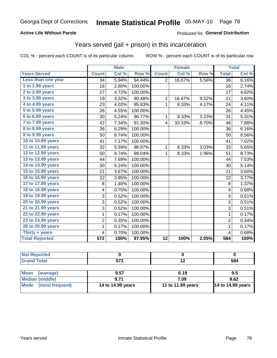#### **Active Life Without Parole**

#### Produced for General Distribution

### Years served (jail + prison) in this incarceration

COL % - percent each COUNT is of its particular column

|                       |                | <b>Male</b> |         |                         | <b>Female</b> |       |                         | <b>Total</b> |
|-----------------------|----------------|-------------|---------|-------------------------|---------------|-------|-------------------------|--------------|
| <b>Years Served</b>   | <b>Count</b>   | Col %       | Row %   | <b>Count</b>            | Col %         | Row % | <b>Total</b>            | Col %        |
| Less than one year    | 34             | 5.94%       | 94.44%  | $\overline{2}$          | 16.67%        | 5.56% | $\overline{36}$         | 6.16%        |
| 1 to 1.99 years       | 16             | 2.80%       | 100.00% |                         |               |       | 16                      | 2.74%        |
| 2 to 2.99 years       | 27             | 4.72%       | 100.00% |                         |               |       | 27                      | 4.62%        |
| 3 to 3.99 years       | 19             | 3.32%       | 90.48%  | 2                       | 16.67%        | 9.52% | 21                      | 3.60%        |
| 4 to 4.99 years       | 23             | 4.02%       | 95.83%  | $\mathbf{1}$            | 8.33%         | 4.17% | 24                      | 4.11%        |
| $5$ to $5.99$ years   | 26             | 4.55%       | 100.00% |                         |               |       | 26                      | 4.45%        |
| 6 to 6.99 years       | 30             | 5.24%       | 96.77%  | $\mathbf{1}$            | 8.33%         | 3.23% | 31                      | 5.31%        |
| 7 to 7.99 years       | 42             | 7.34%       | 91.30%  | $\overline{\mathbf{4}}$ | 33.33%        | 8.70% | 46                      | 7.88%        |
| 8 to 8.99 years       | 36             | 6.29%       | 100.00% |                         |               |       | 36                      | 6.16%        |
| 9 to 9.99 years       | 50             | 8.74%       | 100.00% |                         |               |       | 50                      | 8.56%        |
| 10 to 10.99 years     | 41             | 7.17%       | 100.00% |                         |               |       | 41                      | 7.02%        |
| 11 to 11.99 years     | 32             | 5.59%       | 96.97%  | 1                       | 8.33%         | 3.03% | 33                      | 5.65%        |
| 12 to 12.99 years     | 50             | 8.74%       | 98.04%  | 1                       | 8.33%         | 1.96% | 51                      | 8.73%        |
| 13 to 13.99 years     | 44             | 7.69%       | 100.00% |                         |               |       | 44                      | 7.53%        |
| 14 to 14.99 years     | 30             | 5.24%       | 100.00% |                         |               |       | 30                      | 5.14%        |
| 15 to 15.99 years     | 21             | 3.67%       | 100.00% |                         |               |       | 21                      | 3.60%        |
| 16 to 16.99 years     | 22             | 3.85%       | 100.00% |                         |               |       | 22                      | 3.77%        |
| 17 to 17.99 years     | 8              | 1.40%       | 100.00% |                         |               |       | 8                       | 1.37%        |
| 18 to 18.99 years     | 4              | 0.70%       | 100.00% |                         |               |       | $\overline{\mathbf{4}}$ | 0.68%        |
| 19 to 19.99 years     | 3              | 0.52%       | 100.00% |                         |               |       | 3                       | 0.51%        |
| 20 to 20.99 years     | 3              | 0.52%       | 100.00% |                         |               |       | 3                       | 0.51%        |
| 21 to 21.99 years     | 3              | 0.52%       | 100.00% |                         |               |       | 3                       | 0.51%        |
| 22 to 22.99 years     | 1              | 0.17%       | 100.00% |                         |               |       | $\mathbf{1}$            | 0.17%        |
| 23 to 23.99 years     | $\overline{2}$ | 0.35%       | 100.00% |                         |               |       | $\overline{2}$          | 0.34%        |
| 26 to 26.99 years     | 1              | 0.17%       | 100.00% |                         |               |       | $\mathbf{1}$            | 0.17%        |
| Thirty + years        | 4              | 0.70%       | 100.00% |                         |               |       | $\overline{\mathbf{4}}$ | 0.68%        |
| <b>Total Reported</b> | 572            | 100%        | 97.95%  | $\overline{12}$         | 100%          | 2.05% | 584                     | 100%         |

| <b>Not Reported</b>            |                   |                   |                          |
|--------------------------------|-------------------|-------------------|--------------------------|
| <b>Grand Total</b>             | 572               |                   | 584                      |
|                                |                   |                   |                          |
| <b>Mean</b><br>(average)       | 9.57              | 6.19              | 9.5                      |
| <b>Median (middle)</b>         | 9.71              | 7.09              | 9.62                     |
| <b>Mode</b><br>(most frequent) | 14 to 14.99 years | 11 to 11.99 years | <b>14 to 14.99 years</b> |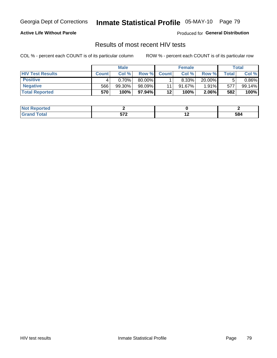Georgia Dept of Corrections

# Inmate Statistical Profile 05-MAY-10 Page 79

#### **Active Life Without Parole**

Produced for General Distribution

### Results of most recent HIV tests

COL % - percent each COUNT is of its particular column

|                         |              | <b>Male</b> |        |              | <b>Female</b> |          |       | Total  |
|-------------------------|--------------|-------------|--------|--------------|---------------|----------|-------|--------|
| <b>HIV Test Results</b> | <b>Count</b> | Col%        | Row %I | <b>Count</b> | Col %         | Row %    | Total | Col %  |
| <b>Positive</b>         |              | 0.70%       | 80.00% |              | 8.33%         | 20.00%   |       | 0.86%  |
| <b>Negative</b>         | 566          | 99.30%      | 98.09% | 11           | $91.67\%$     | $1.91\%$ | 577   | 99.14% |
| <b>Total Reported</b>   | 570          | 100%        | 97.94% | 12           | <b>100%</b>   | $2.06\%$ | 582   | 100%   |

| oorted<br><b>NOT</b> |       |                          |     |
|----------------------|-------|--------------------------|-----|
| $- - - - -$          | $-70$ | $\overline{\phantom{a}}$ | 584 |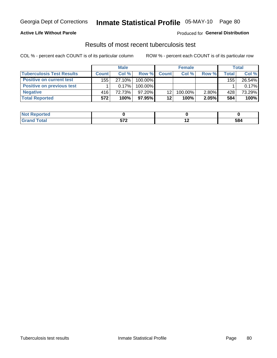#### **Active Life Without Parole**

#### Produced for General Distribution

### Results of most recent tuberculosis test

COL % - percent each COUNT is of its particular column

|                                  |              | <b>Male</b> |           |                 | <b>Female</b> |          |       | Total  |
|----------------------------------|--------------|-------------|-----------|-----------------|---------------|----------|-------|--------|
| <b>Tuberculosis Test Results</b> | <b>Count</b> | Col%        | Row %I    | <b>Count</b>    | Col%          | Row %    | Total | Col %  |
| <b>Positive on current test</b>  | 155          | 27.10%      | 100.00%   |                 |               |          | 155   | 26.54% |
| <b>Positive on previous test</b> |              | 0.17%       | 100.00%   |                 |               |          |       | 0.17%  |
| <b>Negative</b>                  | 416          | 72.73%      | $97.20\%$ | 12 <sub>1</sub> | 100.00%       | $2.80\%$ | 428   | 73.29% |
| <b>Total Reported</b>            | 572          | 100%        | $97.95\%$ | $12 \,$         | 100%          | 2.05%    | 584   | 100%   |

| <b>Not Reported</b> |            |         |
|---------------------|------------|---------|
| <b>Total</b>        | ヒフヘ<br>JIL | <br>584 |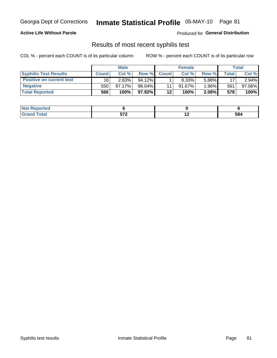#### **Active Life Without Parole**

Produced for General Distribution

### Results of most recent syphilis test

COL % - percent each COUNT is of its particular column

|                                 |              | <b>Male</b> |           |              | <b>Female</b> |        |         | Total  |
|---------------------------------|--------------|-------------|-----------|--------------|---------------|--------|---------|--------|
| <b>Syphilis Test Results</b>    | <b>Count</b> | Col%        | Row %     | <b>Count</b> | Col %         | Row %I | Total i | Col %  |
| <b>Positive on current test</b> | 16           | $2.83\%$    | $94.12\%$ |              | $8.33\%$      | 5.88%  | 17      | 2.94%  |
| <b>Negative</b>                 | 550          | 97.17%      | 98.04%    |              | $91.67\%$     | 1.96%  | 561     | 97.06% |
| <b>Total Reported</b>           | 566          | 100%        | 97.92%    | 12           | 100%          | 2.08%  | 578     | 100%   |

| <b>Not Reported</b> |                      |     |
|---------------------|----------------------|-----|
| <b>Fotal</b>        | -70<br>$\sim$ $\sim$ | 584 |